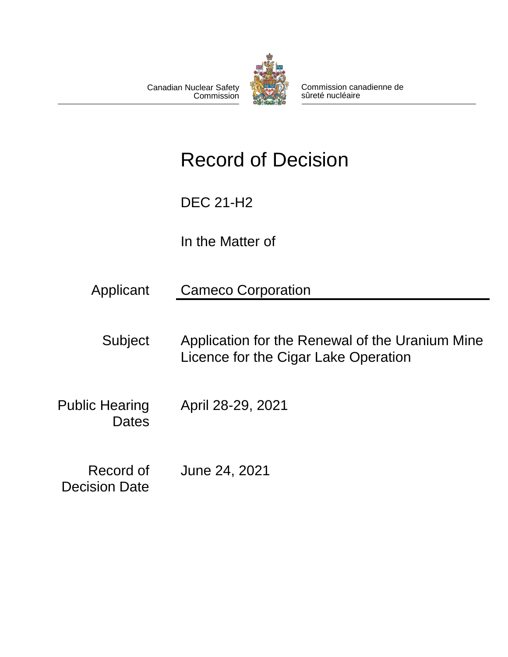

Commission canadienne de sûreté nucléaire

# Record of Decision

DEC 21-H2

**Commission** 

Canadian Nuclear Safety

In the Matter of

Applicant Cameco Corporation

Subject Application for the Renewal of the Uranium Mine Licence for the Cigar Lake Operation

Public Hearing **Dates** April 28-29, 2021

Record of Decision Date June 24, 2021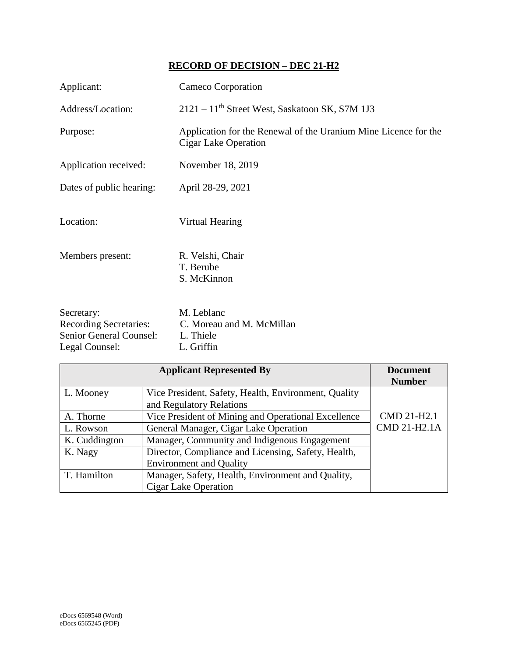# **RECORD OF DECISION – DEC 21-H2**

| Applicant:                                                                                      | Cameco Corporation                                                                      |
|-------------------------------------------------------------------------------------------------|-----------------------------------------------------------------------------------------|
| Address/Location:                                                                               | $2121 - 11$ <sup>th</sup> Street West, Saskatoon SK, S7M 1J3                            |
| Purpose:                                                                                        | Application for the Renewal of the Uranium Mine Licence for the<br>Cigar Lake Operation |
| Application received:                                                                           | November 18, 2019                                                                       |
| Dates of public hearing:                                                                        | April 28-29, 2021                                                                       |
| Location:                                                                                       | Virtual Hearing                                                                         |
| Members present:                                                                                | R. Velshi, Chair<br>T. Berube<br>S. McKinnon                                            |
| Secretary:<br><b>Recording Secretaries:</b><br><b>Senior General Counsel:</b><br>Legal Counsel: | M. Leblanc<br>C. Moreau and M. McMillan<br>L. Thiele<br>L. Griffin                      |

| <b>Applicant Represented By</b> |                                                      | <b>Document</b> |
|---------------------------------|------------------------------------------------------|-----------------|
|                                 |                                                      | <b>Number</b>   |
| L. Mooney                       | Vice President, Safety, Health, Environment, Quality |                 |
|                                 | and Regulatory Relations                             |                 |
| A. Thorne                       | Vice President of Mining and Operational Excellence  | CMD 21-H2.1     |
| L. Rowson                       | General Manager, Cigar Lake Operation                | CMD 21-H2.1A    |
| K. Cuddington                   | Manager, Community and Indigenous Engagement         |                 |
| K. Nagy                         | Director, Compliance and Licensing, Safety, Health,  |                 |
|                                 | <b>Environment and Quality</b>                       |                 |
| T. Hamilton                     | Manager, Safety, Health, Environment and Quality,    |                 |
|                                 | <b>Cigar Lake Operation</b>                          |                 |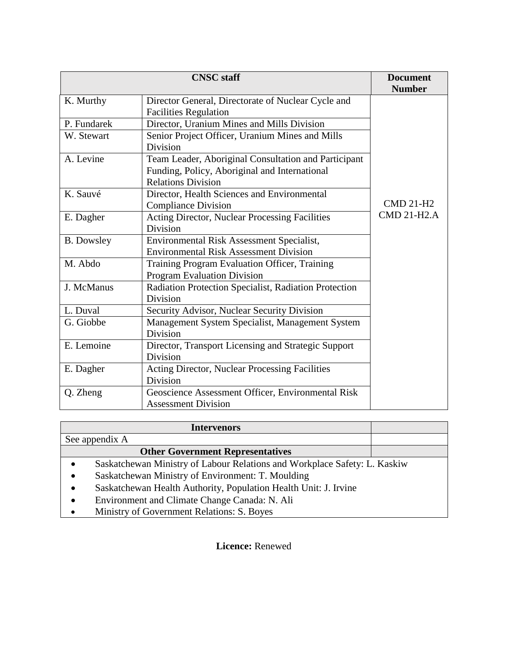| <b>CNSC</b> staff |                                                       | <b>Document</b>    |
|-------------------|-------------------------------------------------------|--------------------|
|                   |                                                       | <b>Number</b>      |
| K. Murthy         | Director General, Directorate of Nuclear Cycle and    |                    |
|                   | <b>Facilities Regulation</b>                          |                    |
| P. Fundarek       | Director, Uranium Mines and Mills Division            |                    |
| W. Stewart        | Senior Project Officer, Uranium Mines and Mills       |                    |
|                   | Division                                              |                    |
| A. Levine         | Team Leader, Aboriginal Consultation and Participant  |                    |
|                   | Funding, Policy, Aboriginal and International         |                    |
|                   | <b>Relations Division</b>                             |                    |
| K. Sauvé          | Director, Health Sciences and Environmental           |                    |
|                   | <b>Compliance Division</b>                            | <b>CMD 21-H2</b>   |
| E. Dagher         | Acting Director, Nuclear Processing Facilities        | <b>CMD 21-H2.A</b> |
|                   | Division                                              |                    |
| <b>B.</b> Dowsley | Environmental Risk Assessment Specialist,             |                    |
|                   | <b>Environmental Risk Assessment Division</b>         |                    |
| M. Abdo           | Training Program Evaluation Officer, Training         |                    |
|                   | <b>Program Evaluation Division</b>                    |                    |
| J. McManus        | Radiation Protection Specialist, Radiation Protection |                    |
|                   | Division                                              |                    |
| L. Duval          | Security Advisor, Nuclear Security Division           |                    |
| G. Giobbe         | Management System Specialist, Management System       |                    |
|                   | Division                                              |                    |
| E. Lemoine        | Director, Transport Licensing and Strategic Support   |                    |
|                   | Division                                              |                    |
| E. Dagher         | Acting Director, Nuclear Processing Facilities        |                    |
|                   | Division                                              |                    |
| Q. Zheng          | Geoscience Assessment Officer, Environmental Risk     |                    |
|                   | <b>Assessment Division</b>                            |                    |

| <b>Intervenors</b>                                                                     |  |
|----------------------------------------------------------------------------------------|--|
| See appendix A                                                                         |  |
| <b>Other Government Representatives</b>                                                |  |
| Saskatchewan Ministry of Labour Relations and Workplace Safety: L. Kaskiw<br>$\bullet$ |  |
| Saskatchewan Ministry of Environment: T. Moulding<br>$\bullet$                         |  |
| Saskatchewan Health Authority, Population Health Unit: J. Irvine<br>$\bullet$          |  |
| Environment and Climate Change Canada: N. Ali<br>$\bullet$                             |  |
| Ministry of Government Relations: S. Boyes<br>$\bullet$                                |  |

**Licence:** Renewed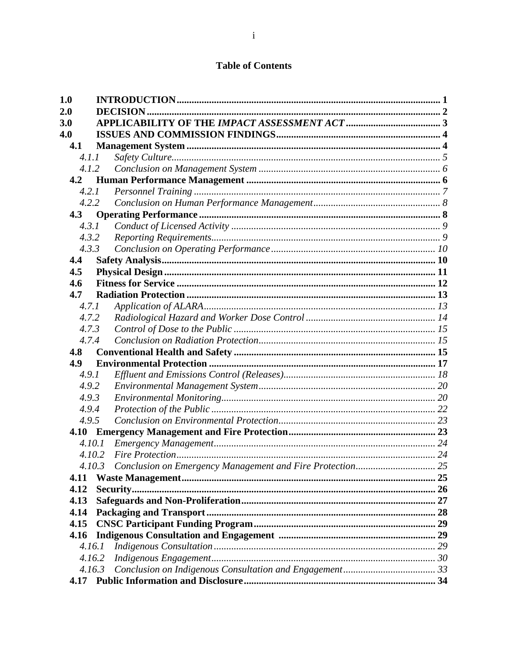## **Table of Contents**

| 1.0    |  |  |
|--------|--|--|
| 2.0    |  |  |
| 3.0    |  |  |
| 4.0    |  |  |
| 4.1    |  |  |
| 4.1.1  |  |  |
| 4.1.2  |  |  |
| 4.2    |  |  |
| 4.2.1  |  |  |
| 4.2.2  |  |  |
| 4.3    |  |  |
| 4.3.1  |  |  |
| 4.3.2  |  |  |
| 4.3.3  |  |  |
| 4.4    |  |  |
| 4.5    |  |  |
| 4.6    |  |  |
| 4.7    |  |  |
| 4.7.1  |  |  |
| 4.7.2  |  |  |
| 4.7.3  |  |  |
| 4.7.4  |  |  |
| 4.8    |  |  |
| 4.9    |  |  |
| 4.9.1  |  |  |
| 4.9.2  |  |  |
| 4.9.3  |  |  |
| 4.9.4  |  |  |
| 4.9.5  |  |  |
|        |  |  |
| 4.10.1 |  |  |
| 4.10.2 |  |  |
| 4.10.3 |  |  |
| 4.11   |  |  |
| 4.12   |  |  |
| 4.13   |  |  |
| 4.14   |  |  |
| 4.15   |  |  |
| 4.16   |  |  |
| 4.16.1 |  |  |
| 4.16.2 |  |  |
| 4.16.3 |  |  |
| 4.17   |  |  |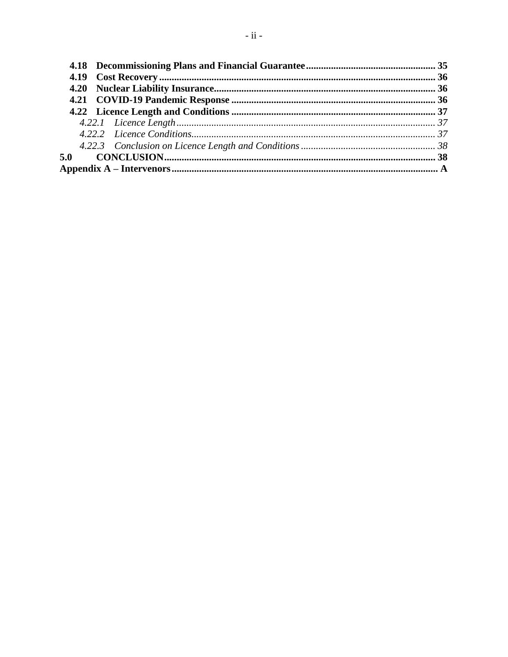| 5.0 |  |
|-----|--|
|     |  |
|     |  |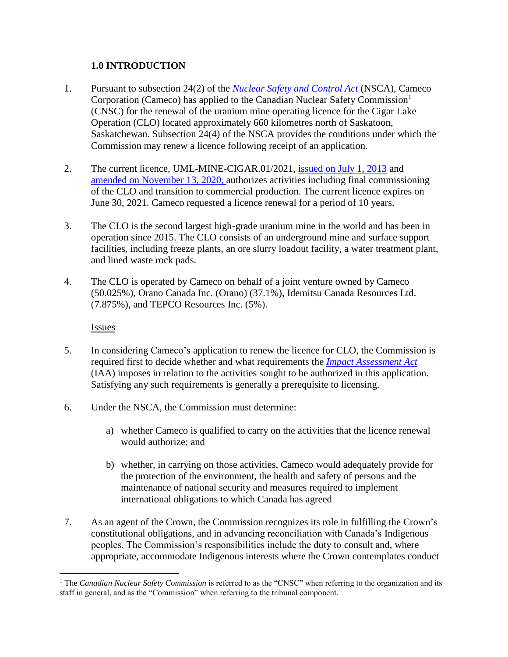## <span id="page-5-0"></span>**1.0 INTRODUCTION**

- 1. Pursuant to subsection 24(2) of the *[Nuclear Safety and Control Act](https://laws-lois.justice.gc.ca/eng/acts/N-28.3/index.html)* (NSCA), Cameco Corporation (Cameco) has applied to the Canadian Nuclear Safety Commission<sup>1</sup> (CNSC) for the renewal of the uranium mine operating licence for the Cigar Lake Operation (CLO) located approximately 660 kilometres north of Saskatoon, Saskatchewan. Subsection 24(4) of the NSCA provides the conditions under which the Commission may renew a licence following receipt of an application.
- 2. The current licence, UML-MINE-CIGAR.01/2021, [issued on July 1, 2013](http://nuclearsafety.gc.ca/eng/the-commission/hearings/documents_browse/results.cfm?dt=3-Apr-2013&yr=2013) and [amended on November 13, 2020,](http://nuclearsafety.gc.ca/eng/the-commission/pdf/Decision-Cameco-CigarLake-20-H108-e.pdf) authorizes activities including final commissioning of the CLO and transition to commercial production. The current licence expires on June 30, 2021. Cameco requested a licence renewal for a period of 10 years.
- 3. The CLO is the second largest high-grade uranium mine in the world and has been in operation since 2015. The CLO consists of an underground mine and surface support facilities, including freeze plants, an ore slurry loadout facility, a water treatment plant, and lined waste rock pads.
- 4. The CLO is operated by Cameco on behalf of a joint venture owned by Cameco (50.025%), Orano Canada Inc. (Orano) (37.1%), Idemitsu Canada Resources Ltd. (7.875%), and TEPCO Resources Inc. (5%).

Issues

 $\overline{a}$ 

- 5. In considering Cameco's application to renew the licence for CLO, the Commission is required first to decide whether and what requirements the *[Impact Assessment Act](https://laws.justice.gc.ca/eng/acts/I-2.75/index.html)* (IAA) imposes in relation to the activities sought to be authorized in this application. Satisfying any such requirements is generally a prerequisite to licensing.
- 6. Under the NSCA, the Commission must determine:
	- a) whether Cameco is qualified to carry on the activities that the licence renewal would authorize; and
	- b) whether, in carrying on those activities, Cameco would adequately provide for the protection of the environment, the health and safety of persons and the maintenance of national security and measures required to implement international obligations to which Canada has agreed
- 7. As an agent of the Crown, the Commission recognizes its role in fulfilling the Crown's constitutional obligations, and in advancing reconciliation with Canada's Indigenous peoples. The Commission's responsibilities include the duty to consult and, where appropriate, accommodate Indigenous interests where the Crown contemplates conduct

<sup>&</sup>lt;sup>1</sup> The *Canadian Nuclear Safety Commission* is referred to as the "CNSC" when referring to the organization and its staff in general, and as the "Commission" when referring to the tribunal component.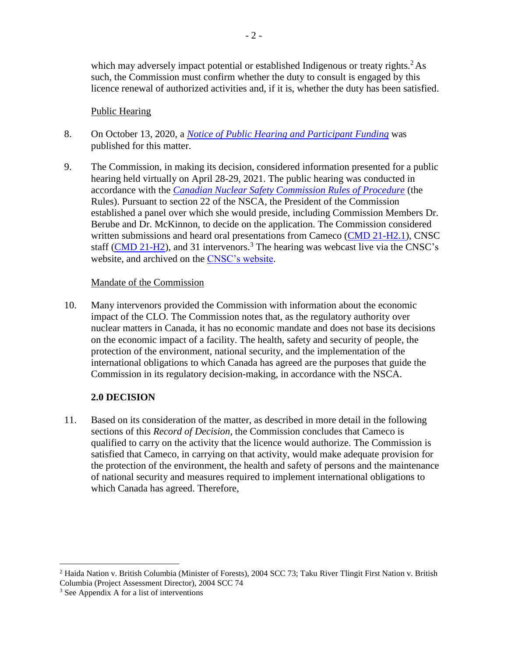which may adversely impact potential or established Indigenous or treaty rights.<sup>2</sup> As such, the Commission must confirm whether the duty to consult is engaged by this licence renewal of authorized activities and, if it is, whether the duty has been satisfied.

#### Public Hearing

- 8. On October 13, 2020, a *[Notice of Public Hearing and Participant Funding](http://www.nuclearsafety.gc.ca/eng/the-commission/pdf/Notice-PublicHearingPFP-Cameco-CigarLake-21-H2-e.pdf)* was published for this matter.
- 9. The Commission, in making its decision, considered information presented for a public hearing held virtually on April 28-29, 2021. The public hearing was conducted in accordance with the *[Canadian Nuclear Safety Commission Rules of Procedure](https://laws.justice.gc.ca/eng/regulations/sor-2000-211/page-1.html)* (the Rules). Pursuant to section 22 of the NSCA, the President of the Commission established a panel over which she would preside, including Commission Members Dr. Berube and Dr. McKinnon, to decide on the application. The Commission considered written submissions and heard oral presentations from Cameco [\(CMD 21-H2.1\)](https://www.nuclearsafety.gc.ca/eng/the-commission/hearings/cmd/pdf/CMD21/CMD21-H2-1.pdf), CNSC staff  $(CMD 21-H2)$ , and 31 intervenors.<sup>3</sup> The hearing was webcast live via the CNSC's website, and archived on the [CNSC's website.](http://nuclearsafety.gc.ca/eng/the-commission/webcasts/archived/index.cfm)

#### Mandate of the Commission

10. Many intervenors provided the Commission with information about the economic impact of the CLO. The Commission notes that, as the regulatory authority over nuclear matters in Canada, it has no economic mandate and does not base its decisions on the economic impact of a facility. The health, safety and security of people, the protection of the environment, national security, and the implementation of the international obligations to which Canada has agreed are the purposes that guide the Commission in its regulatory decision-making, in accordance with the NSCA.

## <span id="page-6-0"></span>**2.0 DECISION**

11. Based on its consideration of the matter, as described in more detail in the following sections of this *Record of Decision*, the Commission concludes that Cameco is qualified to carry on the activity that the licence would authorize. The Commission is satisfied that Cameco, in carrying on that activity, would make adequate provision for the protection of the environment, the health and safety of persons and the maintenance of national security and measures required to implement international obligations to which Canada has agreed. Therefore,

 $\overline{a}$ 

<sup>&</sup>lt;sup>2</sup> Haida Nation v. British Columbia (Minister of Forests), 2004 SCC 73; Taku River Tlingit First Nation v. British Columbia (Project Assessment Director), 2004 SCC 74

<sup>3</sup> See Appendix A for a list of interventions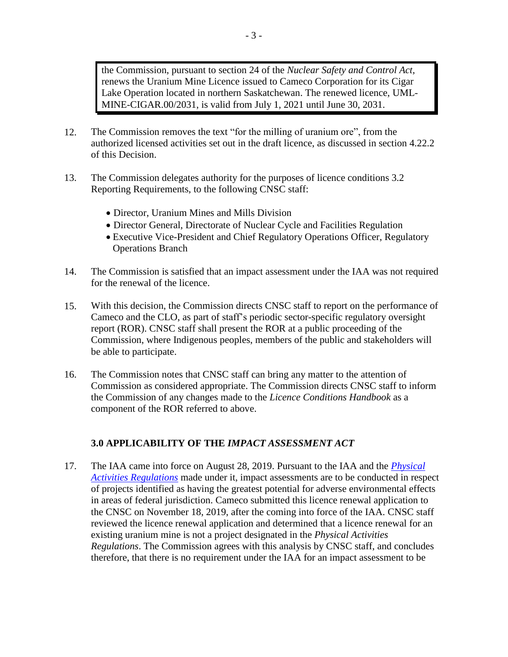the Commission, pursuant to section 24 of the *Nuclear Safety and Control Act*, renews the Uranium Mine Licence issued to Cameco Corporation for its Cigar Lake Operation located in northern Saskatchewan. The renewed licence, UML-MINE-CIGAR.00/2031, is valid from July 1, 2021 until June 30, 2031.

- 12. The Commission removes the text "for the milling of uranium ore", from the authorized licensed activities set out in the draft licence, as discussed in section 4.22.2 of this Decision.
- 13. The Commission delegates authority for the purposes of licence conditions 3.2 Reporting Requirements, to the following CNSC staff:
	- Director, Uranium Mines and Mills Division
	- Director General, Directorate of Nuclear Cycle and Facilities Regulation
	- Executive Vice-President and Chief Regulatory Operations Officer, Regulatory Operations Branch
- 14. The Commission is satisfied that an impact assessment under the IAA was not required for the renewal of the licence.
- 15. With this decision, the Commission directs CNSC staff to report on the performance of Cameco and the CLO, as part of staff's periodic sector-specific regulatory oversight report (ROR). CNSC staff shall present the ROR at a public proceeding of the Commission, where Indigenous peoples, members of the public and stakeholders will be able to participate.
- 16. The Commission notes that CNSC staff can bring any matter to the attention of Commission as considered appropriate. The Commission directs CNSC staff to inform the Commission of any changes made to the *Licence Conditions Handbook* as a component of the ROR referred to above.

## <span id="page-7-0"></span>**3.0 APPLICABILITY OF THE** *IMPACT ASSESSMENT ACT*

17. The IAA came into force on August 28, 2019. Pursuant to the IAA and the *[Physical](https://laws.justice.gc.ca/eng/regulations/SOR-2019-285/index.html)  [Activities Regulations](https://laws.justice.gc.ca/eng/regulations/SOR-2019-285/index.html)* made under it, impact assessments are to be conducted in respect of projects identified as having the greatest potential for adverse environmental effects in areas of federal jurisdiction. Cameco submitted this licence renewal application to the CNSC on November 18, 2019, after the coming into force of the IAA. CNSC staff reviewed the licence renewal application and determined that a licence renewal for an existing uranium mine is not a project designated in the *Physical Activities Regulations*. The Commission agrees with this analysis by CNSC staff, and concludes therefore, that there is no requirement under the IAA for an impact assessment to be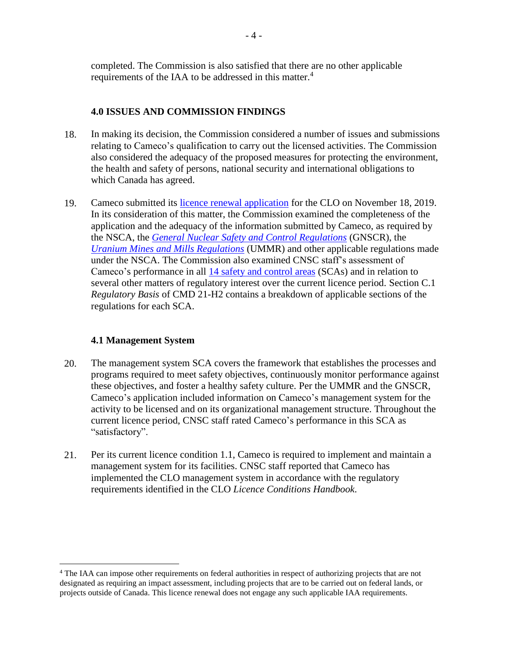completed. The Commission is also satisfied that there are no other applicable requirements of the IAA to be addressed in this matter.<sup>4</sup>

## <span id="page-8-0"></span>**4.0 ISSUES AND COMMISSION FINDINGS**

- 18. In making its decision, the Commission considered a number of issues and submissions relating to Cameco's qualification to carry out the licensed activities. The Commission also considered the adequacy of the proposed measures for protecting the environment, the health and safety of persons, national security and international obligations to which Canada has agreed.
- 19. Cameco submitted its [licence renewal application](http://nuclearsafety.gc.ca/eng/the-commission/pdf/ApplicationCigarLake-RequestRenewal-UML-MINE-CIGAR00-2021-FacilityLicensingManual2019.pdf) for the CLO on November 18, 2019. In its consideration of this matter, the Commission examined the completeness of the application and the adequacy of the information submitted by Cameco, as required by the NSCA, the *[General Nuclear Safety and Control Regulations](https://laws-lois.justice.gc.ca/eng/regulations/SOR-2000-202/index.html)* (GNSCR), the *[Uranium Mines and Mills Regulations](https://laws-lois.justice.gc.ca/eng/regulations/sor-2000-206/index.html)* (UMMR) and other applicable regulations made under the NSCA. The Commission also examined CNSC staff's assessment of Cameco's performance in all [14 safety and control areas](https://nuclearsafety.gc.ca/eng/resources/publications/reports/powerindustry/safety-and-control-areas.cfm) (SCAs) and in relation to several other matters of regulatory interest over the current licence period. Section C.1 *Regulatory Basis* of CMD 21-H2 contains a breakdown of applicable sections of the regulations for each SCA.

## <span id="page-8-1"></span>**4.1 Management System**

 $\overline{a}$ 

- 20. The management system SCA covers the framework that establishes the processes and programs required to meet safety objectives, continuously monitor performance against these objectives, and foster a healthy safety culture. Per the UMMR and the GNSCR, Cameco's application included information on Cameco's management system for the activity to be licensed and on its organizational management structure. Throughout the current licence period, CNSC staff rated Cameco's performance in this SCA as "satisfactory".
- 21. Per its current licence condition 1.1, Cameco is required to implement and maintain a management system for its facilities. CNSC staff reported that Cameco has implemented the CLO management system in accordance with the regulatory requirements identified in the CLO *Licence Conditions Handbook*.

<sup>4</sup> The IAA can impose other requirements on federal authorities in respect of authorizing projects that are not designated as requiring an impact assessment, including projects that are to be carried out on federal lands, or projects outside of Canada. This licence renewal does not engage any such applicable IAA requirements.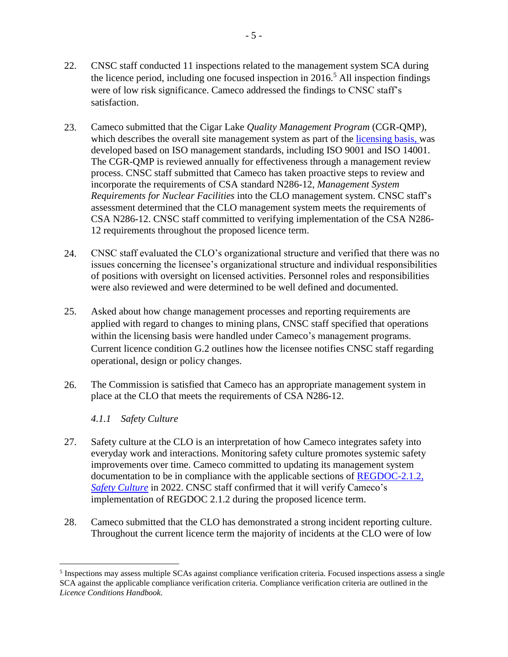- 22. CNSC staff conducted 11 inspections related to the management system SCA during the licence period, including one focused inspection in  $2016<sup>5</sup>$  All inspection findings were of low risk significance. Cameco addressed the findings to CNSC staff's satisfaction.
- 23. Cameco submitted that the Cigar Lake *Quality Management Program* (CGR-QMP), which describes the overall site management system as part of the [licensing basis,](https://nuclearsafety.gc.ca/eng/acts-and-regulations/regulatory-documents/published/html/regdoc3-5-3/index.cfm#sec6-1-1) was developed based on ISO management standards, including ISO 9001 and ISO 14001. The CGR-QMP is reviewed annually for effectiveness through a management review process. CNSC staff submitted that Cameco has taken proactive steps to review and incorporate the requirements of CSA standard N286-12, *Management System Requirements for Nuclear Facilities* into the CLO management system. CNSC staff's assessment determined that the CLO management system meets the requirements of CSA N286-12. CNSC staff committed to verifying implementation of the CSA N286- 12 requirements throughout the proposed licence term.
- 24. CNSC staff evaluated the CLO's organizational structure and verified that there was no issues concerning the licensee's organizational structure and individual responsibilities of positions with oversight on licensed activities. Personnel roles and responsibilities were also reviewed and were determined to be well defined and documented.
- 25. Asked about how change management processes and reporting requirements are applied with regard to changes to mining plans, CNSC staff specified that operations within the licensing basis were handled under Cameco's management programs. Current licence condition G.2 outlines how the licensee notifies CNSC staff regarding operational, design or policy changes.
- 26. The Commission is satisfied that Cameco has an appropriate management system in place at the CLO that meets the requirements of CSA N286-12.

#### <span id="page-9-0"></span>*4.1.1 Safety Culture*

 $\overline{a}$ 

- 27. Safety culture at the CLO is an interpretation of how Cameco integrates safety into everyday work and interactions. Monitoring safety culture promotes systemic safety improvements over time. Cameco committed to updating its management system documentation to be in compliance with the applicable sections of REGDOC-2.1.2, *[Safety Culture](http://nuclearsafety.gc.ca/eng/acts-and-regulations/regulatory-documents/published/html/regdoc2-1-2/index.cfm)* in 2022. CNSC staff confirmed that it will verify Cameco's implementation of REGDOC 2.1.2 during the proposed licence term.
- 28. Cameco submitted that the CLO has demonstrated a strong incident reporting culture. Throughout the current licence term the majority of incidents at the CLO were of low

<sup>&</sup>lt;sup>5</sup> Inspections may assess multiple SCAs against compliance verification criteria. Focused inspections assess a single SCA against the applicable compliance verification criteria. Compliance verification criteria are outlined in the *Licence Conditions Handbook*.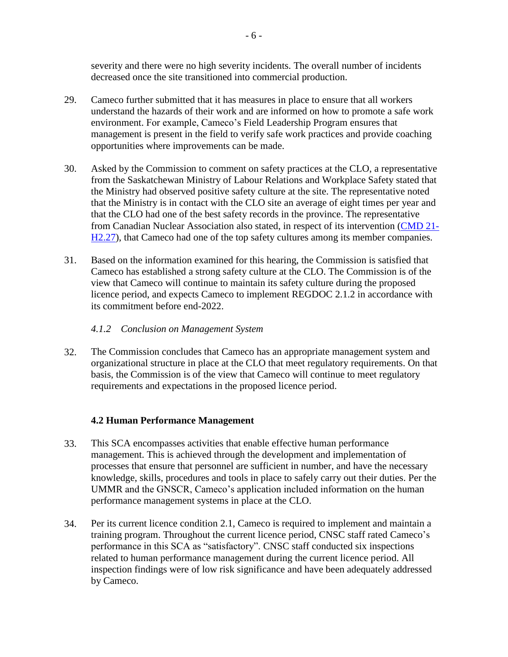severity and there were no high severity incidents. The overall number of incidents decreased once the site transitioned into commercial production.

- 29. Cameco further submitted that it has measures in place to ensure that all workers understand the hazards of their work and are informed on how to promote a safe work environment. For example, Cameco's Field Leadership Program ensures that management is present in the field to verify safe work practices and provide coaching opportunities where improvements can be made.
- 30. Asked by the Commission to comment on safety practices at the CLO, a representative from the Saskatchewan Ministry of Labour Relations and Workplace Safety stated that the Ministry had observed positive safety culture at the site. The representative noted that the Ministry is in contact with the CLO site an average of eight times per year and that the CLO had one of the best safety records in the province. The representative from Canadian Nuclear Association also stated, in respect of its intervention [\(CMD 21-](https://www.nuclearsafety.gc.ca/eng/the-commission/hearings/cmd/pdf/CMD21/CMD21-H2-27.pdf) [H2.27\)](https://www.nuclearsafety.gc.ca/eng/the-commission/hearings/cmd/pdf/CMD21/CMD21-H2-27.pdf), that Cameco had one of the top safety cultures among its member companies.
- 31. Based on the information examined for this hearing, the Commission is satisfied that Cameco has established a strong safety culture at the CLO. The Commission is of the view that Cameco will continue to maintain its safety culture during the proposed licence period, and expects Cameco to implement REGDOC 2.1.2 in accordance with its commitment before end-2022.

#### <span id="page-10-0"></span>*4.1.2 Conclusion on Management System*

32. The Commission concludes that Cameco has an appropriate management system and organizational structure in place at the CLO that meet regulatory requirements. On that basis, the Commission is of the view that Cameco will continue to meet regulatory requirements and expectations in the proposed licence period.

## <span id="page-10-1"></span>**4.2 Human Performance Management**

- 33. This SCA encompasses activities that enable effective human performance management. This is achieved through the development and implementation of processes that ensure that personnel are sufficient in number, and have the necessary knowledge, skills, procedures and tools in place to safely carry out their duties. Per the UMMR and the GNSCR, Cameco's application included information on the human performance management systems in place at the CLO.
- 34. Per its current licence condition 2.1, Cameco is required to implement and maintain a training program. Throughout the current licence period, CNSC staff rated Cameco's performance in this SCA as "satisfactory". CNSC staff conducted six inspections related to human performance management during the current licence period. All inspection findings were of low risk significance and have been adequately addressed by Cameco.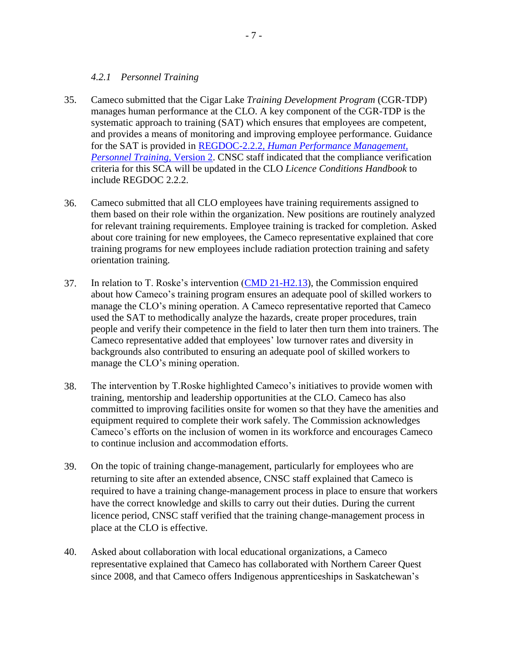## <span id="page-11-0"></span>*4.2.1 Personnel Training*

- 35. Cameco submitted that the Cigar Lake *Training Development Program* (CGR-TDP) manages human performance at the CLO. A key component of the CGR-TDP is the systematic approach to training (SAT) which ensures that employees are competent, and provides a means of monitoring and improving employee performance. Guidance for the SAT is provided in REGDOC-2.2.2*[, Human Performance Management,](http://nuclearsafety.gc.ca/eng/acts-and-regulations/regulatory-documents/published/html/regdoc2-2-2-v2/index.cfm)  [Personnel Training,](http://nuclearsafety.gc.ca/eng/acts-and-regulations/regulatory-documents/published/html/regdoc2-2-2-v2/index.cfm)* Version 2. CNSC staff indicated that the compliance verification criteria for this SCA will be updated in the CLO *Licence Conditions Handbook* to include REGDOC 2.2.2.
- 36. Cameco submitted that all CLO employees have training requirements assigned to them based on their role within the organization. New positions are routinely analyzed for relevant training requirements. Employee training is tracked for completion. Asked about core training for new employees, the Cameco representative explained that core training programs for new employees include radiation protection training and safety orientation training.
- 37. In relation to T. Roske's intervention [\(CMD 21-H2.13\)](https://www.nuclearsafety.gc.ca/eng/the-commission/hearings/cmd/pdf/CMD21/CMD21-H2-13.pdf), the Commission enquired about how Cameco's training program ensures an adequate pool of skilled workers to manage the CLO's mining operation. A Cameco representative reported that Cameco used the SAT to methodically analyze the hazards, create proper procedures, train people and verify their competence in the field to later then turn them into trainers. The Cameco representative added that employees' low turnover rates and diversity in backgrounds also contributed to ensuring an adequate pool of skilled workers to manage the CLO's mining operation.
- 38. The intervention by T.Roske highlighted Cameco's initiatives to provide women with training, mentorship and leadership opportunities at the CLO. Cameco has also committed to improving facilities onsite for women so that they have the amenities and equipment required to complete their work safely. The Commission acknowledges Cameco's efforts on the inclusion of women in its workforce and encourages Cameco to continue inclusion and accommodation efforts.
- 39. On the topic of training change-management, particularly for employees who are returning to site after an extended absence, CNSC staff explained that Cameco is required to have a training change-management process in place to ensure that workers have the correct knowledge and skills to carry out their duties. During the current licence period, CNSC staff verified that the training change-management process in place at the CLO is effective.
- 40. Asked about collaboration with local educational organizations, a Cameco representative explained that Cameco has collaborated with Northern Career Quest since 2008, and that Cameco offers Indigenous apprenticeships in Saskatchewan's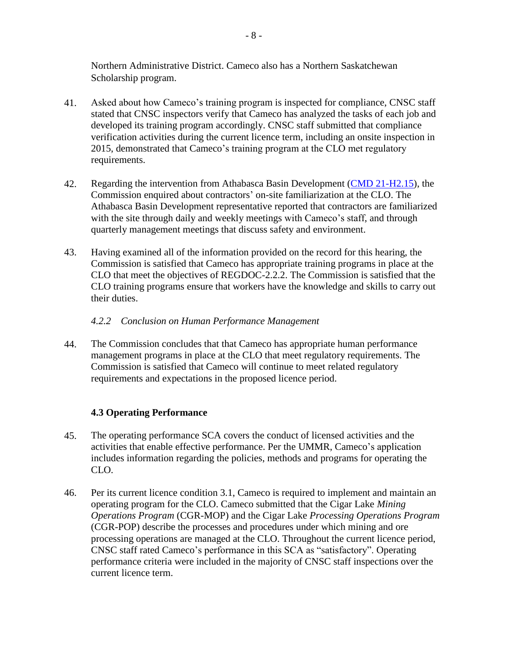Northern Administrative District. Cameco also has a Northern Saskatchewan Scholarship program.

- 41. Asked about how Cameco's training program is inspected for compliance, CNSC staff stated that CNSC inspectors verify that Cameco has analyzed the tasks of each job and developed its training program accordingly. CNSC staff submitted that compliance verification activities during the current licence term, including an onsite inspection in 2015, demonstrated that Cameco's training program at the CLO met regulatory requirements.
- 42. Regarding the intervention from Athabasca Basin Development [\(CMD 21-H2.15\)](https://www.nuclearsafety.gc.ca/eng/the-commission/hearings/cmd/pdf/CMD21/CMD21-H2-15.pdf), the Commission enquired about contractors' on-site familiarization at the CLO. The Athabasca Basin Development representative reported that contractors are familiarized with the site through daily and weekly meetings with Cameco's staff, and through quarterly management meetings that discuss safety and environment.
- 43. Having examined all of the information provided on the record for this hearing, the Commission is satisfied that Cameco has appropriate training programs in place at the CLO that meet the objectives of REGDOC-2.2.2. The Commission is satisfied that the CLO training programs ensure that workers have the knowledge and skills to carry out their duties.

## <span id="page-12-0"></span>*4.2.2 Conclusion on Human Performance Management*

44. The Commission concludes that that Cameco has appropriate human performance management programs in place at the CLO that meet regulatory requirements. The Commission is satisfied that Cameco will continue to meet related regulatory requirements and expectations in the proposed licence period.

## <span id="page-12-1"></span>**4.3 Operating Performance**

- 45. The operating performance SCA covers the conduct of licensed activities and the activities that enable effective performance. Per the UMMR, Cameco's application includes information regarding the policies, methods and programs for operating the CLO.
- 46. Per its current licence condition 3.1, Cameco is required to implement and maintain an operating program for the CLO. Cameco submitted that the Cigar Lake *Mining Operations Program* (CGR-MOP) and the Cigar Lake *Processing Operations Program* (CGR-POP) describe the processes and procedures under which mining and ore processing operations are managed at the CLO. Throughout the current licence period, CNSC staff rated Cameco's performance in this SCA as "satisfactory". Operating performance criteria were included in the majority of CNSC staff inspections over the current licence term.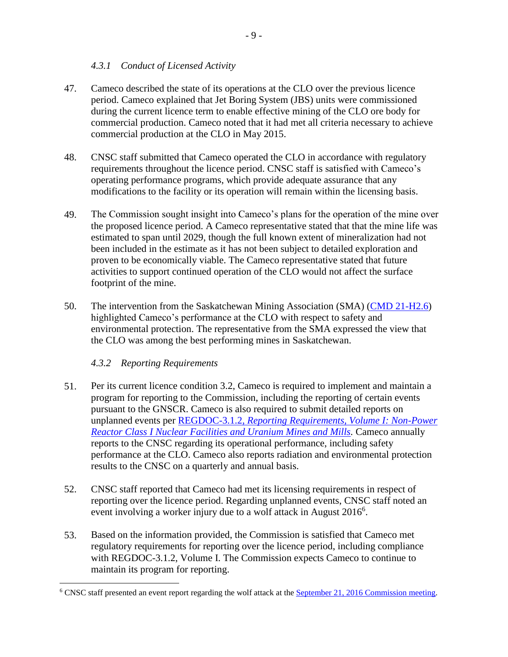## <span id="page-13-0"></span>*4.3.1 Conduct of Licensed Activity*

- 47. Cameco described the state of its operations at the CLO over the previous licence period. Cameco explained that Jet Boring System (JBS) units were commissioned during the current licence term to enable effective mining of the CLO ore body for commercial production. Cameco noted that it had met all criteria necessary to achieve commercial production at the CLO in May 2015.
- 48. CNSC staff submitted that Cameco operated the CLO in accordance with regulatory requirements throughout the licence period. CNSC staff is satisfied with Cameco's operating performance programs, which provide adequate assurance that any modifications to the facility or its operation will remain within the licensing basis.
- 49. The Commission sought insight into Cameco's plans for the operation of the mine over the proposed licence period. A Cameco representative stated that that the mine life was estimated to span until 2029, though the full known extent of mineralization had not been included in the estimate as it has not been subject to detailed exploration and proven to be economically viable. The Cameco representative stated that future activities to support continued operation of the CLO would not affect the surface footprint of the mine.
- 50. The intervention from the Saskatchewan Mining Association (SMA) [\(CMD 21-H2.6\)](https://www.nuclearsafety.gc.ca/eng/the-commission/hearings/cmd/pdf/CMD21/CMD21-H2-6.pdf) highlighted Cameco's performance at the CLO with respect to safety and environmental protection. The representative from the SMA expressed the view that the CLO was among the best performing mines in Saskatchewan.

## <span id="page-13-1"></span>*4.3.2 Reporting Requirements*

 $\overline{a}$ 

- 51. Per its current licence condition 3.2, Cameco is required to implement and maintain a program for reporting to the Commission, including the reporting of certain events pursuant to the GNSCR. Cameco is also required to submit detailed reports on unplanned events per REGDOC-3.1.2, *[Reporting Requirements, Volume I: Non-Power](https://nuclearsafety.gc.ca/eng/acts-and-regulations/regulatory-documents/published/html/regdoc3-1-2-v1/index.cfm)  [Reactor Class I Nuclear Facilities and Uranium Mines and Mills.](https://nuclearsafety.gc.ca/eng/acts-and-regulations/regulatory-documents/published/html/regdoc3-1-2-v1/index.cfm)* Cameco annually reports to the CNSC regarding its operational performance, including safety performance at the CLO. Cameco also reports radiation and environmental protection results to the CNSC on a quarterly and annual basis.
- 52. CNSC staff reported that Cameco had met its licensing requirements in respect of reporting over the licence period. Regarding unplanned events, CNSC staff noted an event involving a worker injury due to a wolf attack in August  $2016<sup>6</sup>$ .
- 53. Based on the information provided, the Commission is satisfied that Cameco met regulatory requirements for reporting over the licence period, including compliance with REGDOC-3.1.2, Volume I. The Commission expects Cameco to continue to maintain its program for reporting.

<sup>&</sup>lt;sup>6</sup> CNSC staff presented an event report regarding the wolf attack at the **September 21, 2016 Commission meeting.**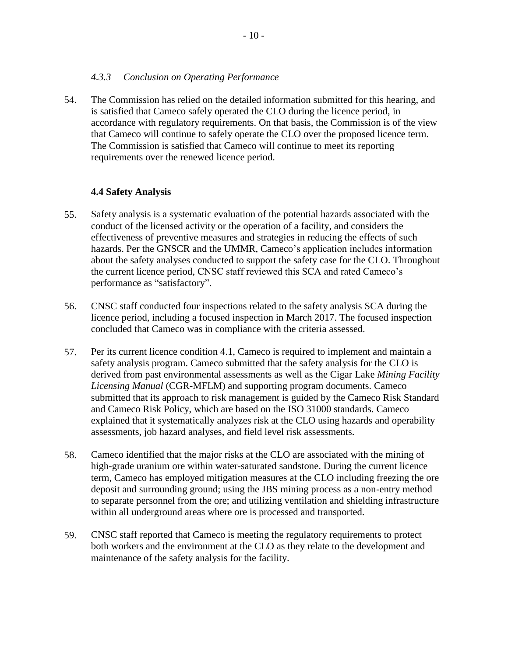#### <span id="page-14-0"></span>*4.3.3 Conclusion on Operating Performance*

54. The Commission has relied on the detailed information submitted for this hearing, and is satisfied that Cameco safely operated the CLO during the licence period, in accordance with regulatory requirements. On that basis, the Commission is of the view that Cameco will continue to safely operate the CLO over the proposed licence term. The Commission is satisfied that Cameco will continue to meet its reporting requirements over the renewed licence period.

## <span id="page-14-1"></span>**4.4 Safety Analysis**

- 55. Safety analysis is a systematic evaluation of the potential hazards associated with the conduct of the licensed activity or the operation of a facility, and considers the effectiveness of preventive measures and strategies in reducing the effects of such hazards. Per the GNSCR and the UMMR, Cameco's application includes information about the safety analyses conducted to support the safety case for the CLO. Throughout the current licence period, CNSC staff reviewed this SCA and rated Cameco's performance as "satisfactory".
- 56. CNSC staff conducted four inspections related to the safety analysis SCA during the licence period, including a focused inspection in March 2017. The focused inspection concluded that Cameco was in compliance with the criteria assessed.
- 57. Per its current licence condition 4.1, Cameco is required to implement and maintain a safety analysis program. Cameco submitted that the safety analysis for the CLO is derived from past environmental assessments as well as the Cigar Lake *Mining Facility Licensing Manual* (CGR-MFLM) and supporting program documents. Cameco submitted that its approach to risk management is guided by the Cameco Risk Standard and Cameco Risk Policy, which are based on the ISO 31000 standards. Cameco explained that it systematically analyzes risk at the CLO using hazards and operability assessments, job hazard analyses, and field level risk assessments.
- 58. Cameco identified that the major risks at the CLO are associated with the mining of high-grade uranium ore within water-saturated sandstone. During the current licence term, Cameco has employed mitigation measures at the CLO including freezing the ore deposit and surrounding ground; using the JBS mining process as a non-entry method to separate personnel from the ore; and utilizing ventilation and shielding infrastructure within all underground areas where ore is processed and transported.
- 59. CNSC staff reported that Cameco is meeting the regulatory requirements to protect both workers and the environment at the CLO as they relate to the development and maintenance of the safety analysis for the facility.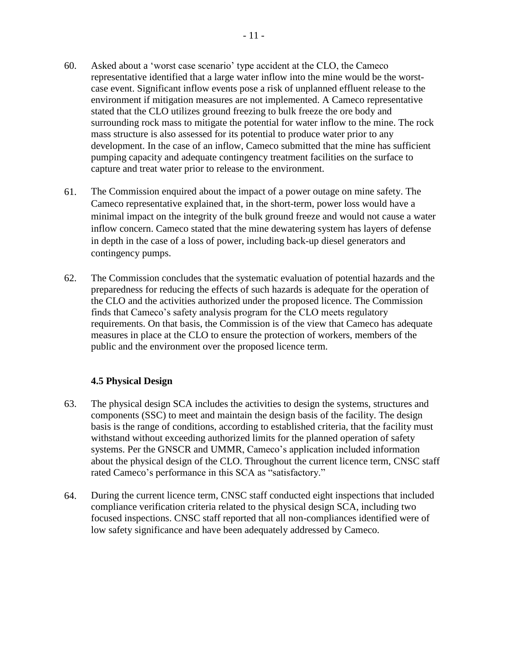- 60. Asked about a 'worst case scenario' type accident at the CLO, the Cameco representative identified that a large water inflow into the mine would be the worstcase event. Significant inflow events pose a risk of unplanned effluent release to the environment if mitigation measures are not implemented. A Cameco representative stated that the CLO utilizes ground freezing to bulk freeze the ore body and surrounding rock mass to mitigate the potential for water inflow to the mine. The rock mass structure is also assessed for its potential to produce water prior to any development. In the case of an inflow, Cameco submitted that the mine has sufficient pumping capacity and adequate contingency treatment facilities on the surface to capture and treat water prior to release to the environment.
- 61. The Commission enquired about the impact of a power outage on mine safety. The Cameco representative explained that, in the short-term, power loss would have a minimal impact on the integrity of the bulk ground freeze and would not cause a water inflow concern. Cameco stated that the mine dewatering system has layers of defense in depth in the case of a loss of power, including back-up diesel generators and contingency pumps.
- 62. The Commission concludes that the systematic evaluation of potential hazards and the preparedness for reducing the effects of such hazards is adequate for the operation of the CLO and the activities authorized under the proposed licence. The Commission finds that Cameco's safety analysis program for the CLO meets regulatory requirements. On that basis, the Commission is of the view that Cameco has adequate measures in place at the CLO to ensure the protection of workers, members of the public and the environment over the proposed licence term.

## <span id="page-15-0"></span>**4.5 Physical Design**

- 63. The physical design SCA includes the activities to design the systems, structures and components (SSC) to meet and maintain the design basis of the facility. The design basis is the range of conditions, according to established criteria, that the facility must withstand without exceeding authorized limits for the planned operation of safety systems. Per the GNSCR and UMMR, Cameco's application included information about the physical design of the CLO. Throughout the current licence term, CNSC staff rated Cameco's performance in this SCA as "satisfactory."
- 64. During the current licence term, CNSC staff conducted eight inspections that included compliance verification criteria related to the physical design SCA, including two focused inspections. CNSC staff reported that all non-compliances identified were of low safety significance and have been adequately addressed by Cameco.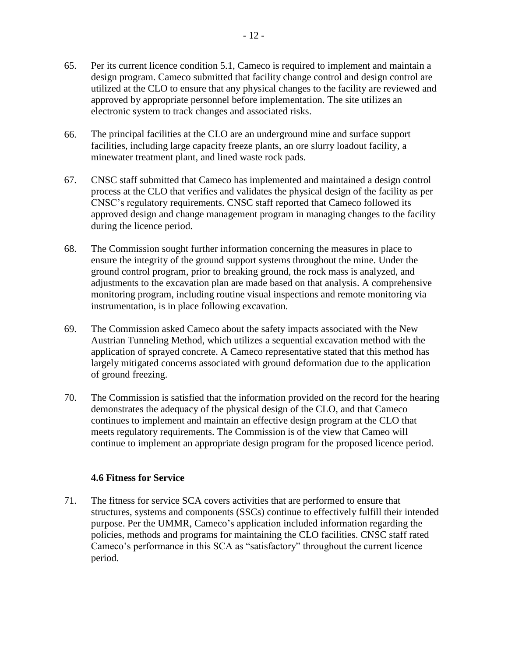- 65. Per its current licence condition 5.1, Cameco is required to implement and maintain a design program. Cameco submitted that facility change control and design control are utilized at the CLO to ensure that any physical changes to the facility are reviewed and approved by appropriate personnel before implementation. The site utilizes an electronic system to track changes and associated risks.
- 66. The principal facilities at the CLO are an underground mine and surface support facilities, including large capacity freeze plants, an ore slurry loadout facility, a minewater treatment plant, and lined waste rock pads.
- 67. CNSC staff submitted that Cameco has implemented and maintained a design control process at the CLO that verifies and validates the physical design of the facility as per CNSC's regulatory requirements. CNSC staff reported that Cameco followed its approved design and change management program in managing changes to the facility during the licence period.
- 68. The Commission sought further information concerning the measures in place to ensure the integrity of the ground support systems throughout the mine. Under the ground control program, prior to breaking ground, the rock mass is analyzed, and adjustments to the excavation plan are made based on that analysis. A comprehensive monitoring program, including routine visual inspections and remote monitoring via instrumentation, is in place following excavation.
- 69. The Commission asked Cameco about the safety impacts associated with the New Austrian Tunneling Method, which utilizes a sequential excavation method with the application of sprayed concrete. A Cameco representative stated that this method has largely mitigated concerns associated with ground deformation due to the application of ground freezing.
- 70. The Commission is satisfied that the information provided on the record for the hearing demonstrates the adequacy of the physical design of the CLO, and that Cameco continues to implement and maintain an effective design program at the CLO that meets regulatory requirements. The Commission is of the view that Cameo will continue to implement an appropriate design program for the proposed licence period.

## <span id="page-16-0"></span>**4.6 Fitness for Service**

71. The fitness for service SCA covers activities that are performed to ensure that structures, systems and components (SSCs) continue to effectively fulfill their intended purpose. Per the UMMR, Cameco's application included information regarding the policies, methods and programs for maintaining the CLO facilities. CNSC staff rated Cameco's performance in this SCA as "satisfactory" throughout the current licence period.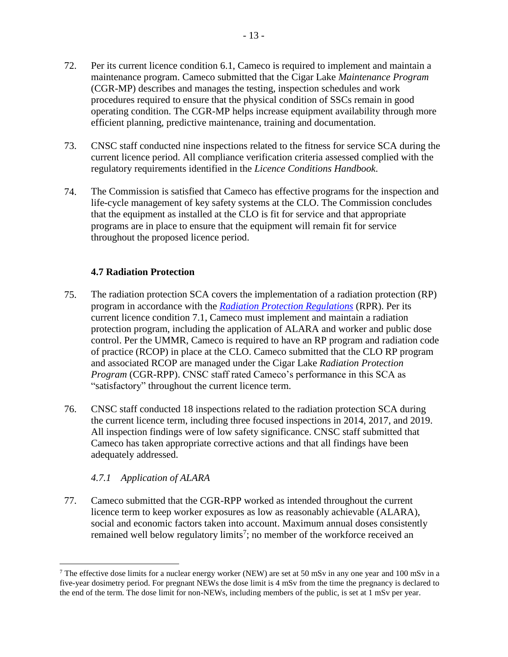- 72. Per its current licence condition 6.1, Cameco is required to implement and maintain a maintenance program. Cameco submitted that the Cigar Lake *Maintenance Program* (CGR-MP) describes and manages the testing, inspection schedules and work procedures required to ensure that the physical condition of SSCs remain in good operating condition. The CGR-MP helps increase equipment availability through more efficient planning, predictive maintenance, training and documentation.
- 73. CNSC staff conducted nine inspections related to the fitness for service SCA during the current licence period. All compliance verification criteria assessed complied with the regulatory requirements identified in the *Licence Conditions Handbook*.
- 74. The Commission is satisfied that Cameco has effective programs for the inspection and life-cycle management of key safety systems at the CLO. The Commission concludes that the equipment as installed at the CLO is fit for service and that appropriate programs are in place to ensure that the equipment will remain fit for service throughout the proposed licence period.

## <span id="page-17-0"></span>**4.7 Radiation Protection**

- 75. The radiation protection SCA covers the implementation of a radiation protection (RP) program in accordance with the *[Radiation Protection Regulations](https://laws-lois.justice.gc.ca/eng/regulations/SOR-2000-203/index.html)* (RPR). Per its current licence condition 7.1, Cameco must implement and maintain a radiation protection program, including the application of ALARA and worker and public dose control. Per the UMMR, Cameco is required to have an RP program and radiation code of practice (RCOP) in place at the CLO. Cameco submitted that the CLO RP program and associated RCOP are managed under the Cigar Lake *Radiation Protection Program* (CGR-RPP). CNSC staff rated Cameco's performance in this SCA as "satisfactory" throughout the current licence term.
- 76. CNSC staff conducted 18 inspections related to the radiation protection SCA during the current licence term, including three focused inspections in 2014, 2017, and 2019. All inspection findings were of low safety significance. CNSC staff submitted that Cameco has taken appropriate corrective actions and that all findings have been adequately addressed.

## <span id="page-17-1"></span>*4.7.1 Application of ALARA*

 $\overline{a}$ 

77. Cameco submitted that the CGR-RPP worked as intended throughout the current licence term to keep worker exposures as low as reasonably achievable (ALARA), social and economic factors taken into account. Maximum annual doses consistently remained well below regulatory limits<sup>7</sup>; no member of the workforce received an

<sup>&</sup>lt;sup>7</sup> The effective dose limits for a nuclear energy worker (NEW) are set at 50 mSv in any one year and 100 mSv in a five-year dosimetry period. For pregnant NEWs the dose limit is 4 mSv from the time the pregnancy is declared to the end of the term. The dose limit for non-NEWs, including members of the public, is set at 1 mSv per year.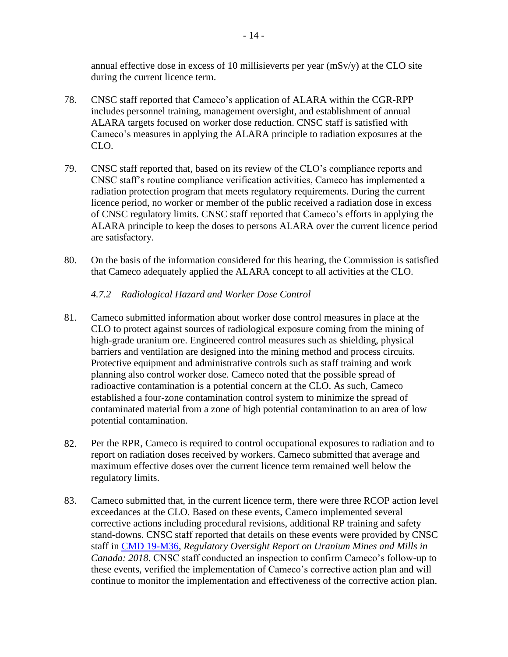annual effective dose in excess of 10 millisieverts per year (mSv/y) at the CLO site during the current licence term.

- 78. CNSC staff reported that Cameco's application of ALARA within the CGR-RPP includes personnel training, management oversight, and establishment of annual ALARA targets focused on worker dose reduction. CNSC staff is satisfied with Cameco's measures in applying the ALARA principle to radiation exposures at the CLO.
- 79. CNSC staff reported that, based on its review of the CLO's compliance reports and CNSC staff's routine compliance verification activities, Cameco has implemented a radiation protection program that meets regulatory requirements. During the current licence period, no worker or member of the public received a radiation dose in excess of CNSC regulatory limits. CNSC staff reported that Cameco's efforts in applying the ALARA principle to keep the doses to persons ALARA over the current licence period are satisfactory.
- 80. On the basis of the information considered for this hearing, the Commission is satisfied that Cameco adequately applied the ALARA concept to all activities at the CLO.

#### <span id="page-18-0"></span>*4.7.2 Radiological Hazard and Worker Dose Control*

- 81. Cameco submitted information about worker dose control measures in place at the CLO to protect against sources of radiological exposure coming from the mining of high-grade uranium ore. Engineered control measures such as shielding, physical barriers and ventilation are designed into the mining method and process circuits. Protective equipment and administrative controls such as staff training and work planning also control worker dose. Cameco noted that the possible spread of radioactive contamination is a potential concern at the CLO. As such, Cameco established a four-zone contamination control system to minimize the spread of contaminated material from a zone of high potential contamination to an area of low potential contamination.
- 82. Per the RPR, Cameco is required to control occupational exposures to radiation and to report on radiation doses received by workers. Cameco submitted that average and maximum effective doses over the current licence term remained well below the regulatory limits.
- 83. Cameco submitted that, in the current licence term, there were three RCOP action level exceedances at the CLO. Based on these events, Cameco implemented several corrective actions including procedural revisions, additional RP training and safety stand-downs. CNSC staff reported that details on these events were provided by CNSC staff in [CMD 19-M36,](https://www.nuclearsafety.gc.ca/eng/the-commission/meetings/cmd/pdf/CMD18/CMD19-M36.pdf) *Regulatory Oversight Report on Uranium Mines and Mills in Canada: 2018*. CNSC staff conducted an inspection to confirm Cameco's follow-up to these events, verified the implementation of Cameco's corrective action plan and will continue to monitor the implementation and effectiveness of the corrective action plan.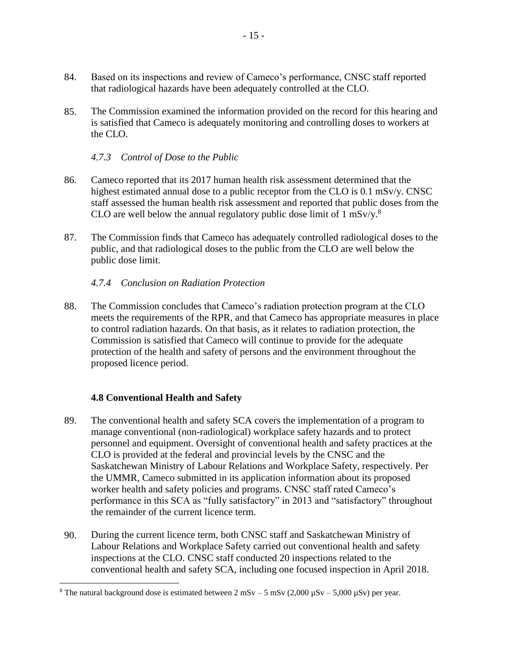- 84. Based on its inspections and review of Cameco's performance, CNSC staff reported that radiological hazards have been adequately controlled at the CLO.
- 85. The Commission examined the information provided on the record for this hearing and is satisfied that Cameco is adequately monitoring and controlling doses to workers at the CLO.

<span id="page-19-0"></span>*4.7.3 Control of Dose to the Public* 

- 86. Cameco reported that its 2017 human health risk assessment determined that the highest estimated annual dose to a public receptor from the CLO is 0.1 mSv/y. CNSC staff assessed the human health risk assessment and reported that public doses from the CLO are well below the annual regulatory public dose limit of 1 mSv/y.<sup>8</sup>
- 87. The Commission finds that Cameco has adequately controlled radiological doses to the public, and that radiological doses to the public from the CLO are well below the public dose limit.

## <span id="page-19-1"></span>*4.7.4 Conclusion on Radiation Protection*

88. The Commission concludes that Cameco's radiation protection program at the CLO meets the requirements of the RPR, and that Cameco has appropriate measures in place to control radiation hazards. On that basis, as it relates to radiation protection, the Commission is satisfied that Cameco will continue to provide for the adequate protection of the health and safety of persons and the environment throughout the proposed licence period.

#### <span id="page-19-2"></span>**4.8 Conventional Health and Safety**

 $\overline{a}$ 

- 89. The conventional health and safety SCA covers the implementation of a program to manage conventional (non-radiological) workplace safety hazards and to protect personnel and equipment. Oversight of conventional health and safety practices at the CLO is provided at the federal and provincial levels by the CNSC and the Saskatchewan Ministry of Labour Relations and Workplace Safety, respectively. Per the UMMR, Cameco submitted in its application information about its proposed worker health and safety policies and programs. CNSC staff rated Cameco's performance in this SCA as "fully satisfactory" in 2013 and "satisfactory" throughout the remainder of the current licence term.
- 90. During the current licence term, both CNSC staff and Saskatchewan Ministry of Labour Relations and Workplace Safety carried out conventional health and safety inspections at the CLO. CNSC staff conducted 20 inspections related to the conventional health and safety SCA, including one focused inspection in April 2018.

<sup>&</sup>lt;sup>8</sup> The natural background dose is estimated between 2 mSv – 5 mSv (2,000  $\mu$ Sv – 5,000  $\mu$ Sv) per year.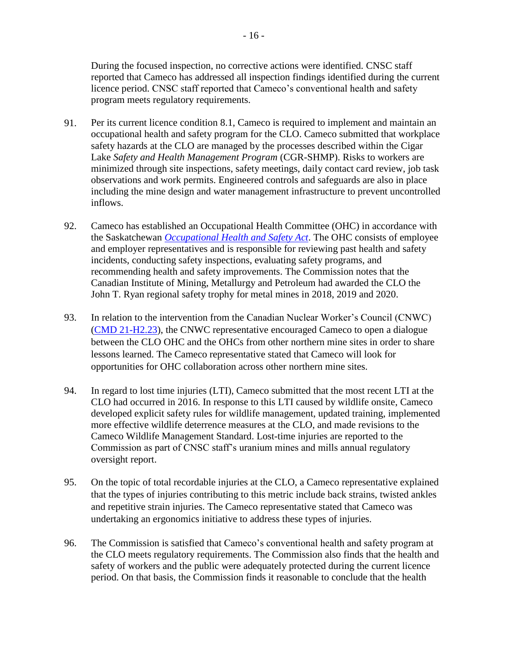During the focused inspection, no corrective actions were identified. CNSC staff reported that Cameco has addressed all inspection findings identified during the current licence period. CNSC staff reported that Cameco's conventional health and safety program meets regulatory requirements.

- 91. Per its current licence condition 8.1, Cameco is required to implement and maintain an occupational health and safety program for the CLO. Cameco submitted that workplace safety hazards at the CLO are managed by the processes described within the Cigar Lake *Safety and Health Management Program* (CGR-SHMP). Risks to workers are minimized through site inspections, safety meetings, daily contact card review, job task observations and work permits. Engineered controls and safeguards are also in place including the mine design and water management infrastructure to prevent uncontrolled inflows.
- 92. Cameco has established an Occupational Health Committee (OHC) in accordance with the Saskatchewan *[Occupational Health and Safety Act](https://www.canlii.org/en/sk/laws/stat/ss-1993-c-o-1.1/latest/part-1/ss1993-c-o-1.1-part%201.pdf)*. The OHC consists of employee and employer representatives and is responsible for reviewing past health and safety incidents, conducting safety inspections, evaluating safety programs, and recommending health and safety improvements. The Commission notes that the Canadian Institute of Mining, Metallurgy and Petroleum had awarded the CLO the John T. Ryan regional safety trophy for metal mines in 2018, 2019 and 2020.
- 93. In relation to the intervention from the Canadian Nuclear Worker's Council (CNWC) [\(CMD 21-H2.23\)](https://www.nuclearsafety.gc.ca/eng/the-commission/hearings/cmd/pdf/CMD21/CMD21-H2-23.pdf), the CNWC representative encouraged Cameco to open a dialogue between the CLO OHC and the OHCs from other northern mine sites in order to share lessons learned. The Cameco representative stated that Cameco will look for opportunities for OHC collaboration across other northern mine sites.
- 94. In regard to lost time injuries (LTI), Cameco submitted that the most recent LTI at the CLO had occurred in 2016. In response to this LTI caused by wildlife onsite, Cameco developed explicit safety rules for wildlife management, updated training, implemented more effective wildlife deterrence measures at the CLO, and made revisions to the Cameco Wildlife Management Standard. Lost-time injuries are reported to the Commission as part of CNSC staff's uranium mines and mills annual regulatory oversight report.
- 95. On the topic of total recordable injuries at the CLO, a Cameco representative explained that the types of injuries contributing to this metric include back strains, twisted ankles and repetitive strain injuries. The Cameco representative stated that Cameco was undertaking an ergonomics initiative to address these types of injuries.
- 96. The Commission is satisfied that Cameco's conventional health and safety program at the CLO meets regulatory requirements. The Commission also finds that the health and safety of workers and the public were adequately protected during the current licence period. On that basis, the Commission finds it reasonable to conclude that the health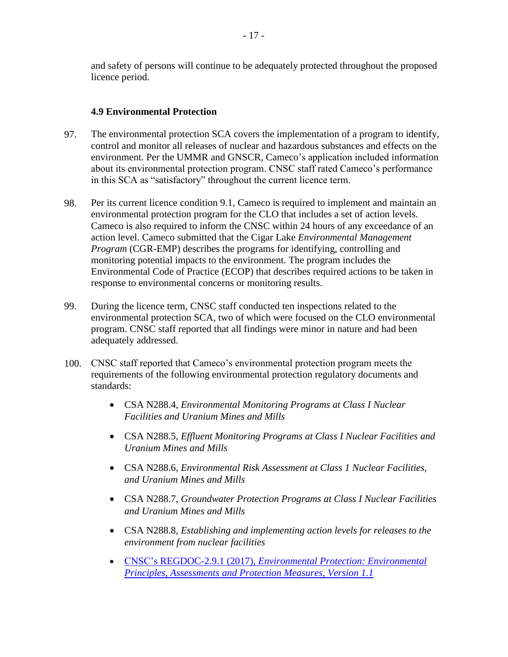and safety of persons will continue to be adequately protected throughout the proposed licence period.

## <span id="page-21-0"></span>**4.9 Environmental Protection**

- 97. The environmental protection SCA covers the implementation of a program to identify, control and monitor all releases of nuclear and hazardous substances and effects on the environment. Per the UMMR and GNSCR, Cameco's application included information about its environmental protection program. CNSC staff rated Cameco's performance in this SCA as "satisfactory" throughout the current licence term.
- 98. Per its current licence condition 9.1, Cameco is required to implement and maintain an environmental protection program for the CLO that includes a set of action levels. Cameco is also required to inform the CNSC within 24 hours of any exceedance of an action level. Cameco submitted that the Cigar Lake *Environmental Management Program* (CGR-EMP) describes the programs for identifying, controlling and monitoring potential impacts to the environment. The program includes the Environmental Code of Practice (ECOP) that describes required actions to be taken in response to environmental concerns or monitoring results.
- 99. During the licence term, CNSC staff conducted ten inspections related to the environmental protection SCA, two of which were focused on the CLO environmental program. CNSC staff reported that all findings were minor in nature and had been adequately addressed.
- 100. CNSC staff reported that Cameco's environmental protection program meets the requirements of the following environmental protection regulatory documents and standards:
	- CSA N288.4, *Environmental Monitoring Programs at Class I Nuclear Facilities and Uranium Mines and Mills*
	- CSA N288.5, *Effluent Monitoring Programs at Class I Nuclear Facilities and Uranium Mines and Mills*
	- CSA N288.6, *Environmental Risk Assessment at Class 1 Nuclear Facilities, and Uranium Mines and Mills*
	- CSA N288.7, *Groundwater Protection Programs at Class I Nuclear Facilities and Uranium Mines and Mills*
	- CSA N288.8, *Establishing and implementing action levels for releases to the environment from nuclear facilities*
	- CNSC's REGDOC-2.9.1 (2017), *[Environmental Protection: Environmental](http://nuclearsafety.gc.ca/eng/pdfs/REGDOCS/REGDOC-2-9-1-Environmental-Principles-Assessments-and-Protection-Measures-eng.pdf)  [Principles, Assessments and Protection Measures, Version 1.1](http://nuclearsafety.gc.ca/eng/pdfs/REGDOCS/REGDOC-2-9-1-Environmental-Principles-Assessments-and-Protection-Measures-eng.pdf)*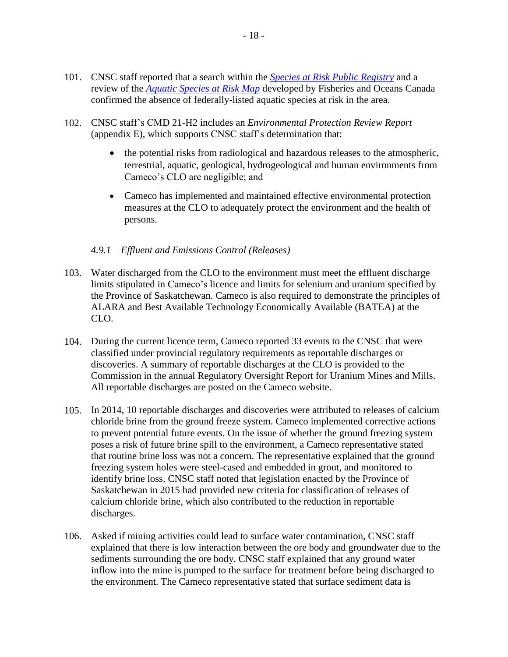- 101. CNSC staff reported that a search within the *[Species at Risk Public Registry](http://www.sararegistry.gc.ca/)* and a review of the *[Aquatic Species at Risk Map](https://www.dfo-mpo.gc.ca/species-especes/sara-lep/map-carte/index-eng.html)* developed by Fisheries and Oceans Canada confirmed the absence of federally-listed aquatic species at risk in the area.
- 102. CNSC staff's CMD 21-H2 includes an *Environmental Protection Review Report* (appendix E), which supports CNSC staff's determination that:
	- the potential risks from radiological and hazardous releases to the atmospheric, terrestrial, aquatic, geological, hydrogeological and human environments from Cameco's CLO are negligible; and
	- Cameco has implemented and maintained effective environmental protection measures at the CLO to adequately protect the environment and the health of persons.

#### <span id="page-22-0"></span>*4.9.1 Effluent and Emissions Control (Releases)*

- 103. Water discharged from the CLO to the environment must meet the effluent discharge limits stipulated in Cameco's licence and limits for selenium and uranium specified by the Province of Saskatchewan. Cameco is also required to demonstrate the principles of ALARA and Best Available Technology Economically Available (BATEA) at the CLO.
- 104. During the current licence term, Cameco reported 33 events to the CNSC that were classified under provincial regulatory requirements as reportable discharges or discoveries. A summary of reportable discharges at the CLO is provided to the Commission in the annual Regulatory Oversight Report for Uranium Mines and Mills. All reportable discharges are posted on the Cameco website.
- 105. In 2014, 10 reportable discharges and discoveries were attributed to releases of calcium chloride brine from the ground freeze system. Cameco implemented corrective actions to prevent potential future events. On the issue of whether the ground freezing system poses a risk of future brine spill to the environment, a Cameco representative stated that routine brine loss was not a concern. The representative explained that the ground freezing system holes were steel-cased and embedded in grout, and monitored to identify brine loss. CNSC staff noted that legislation enacted by the Province of Saskatchewan in 2015 had provided new criteria for classification of releases of calcium chloride brine, which also contributed to the reduction in reportable discharges.
- 106. Asked if mining activities could lead to surface water contamination, CNSC staff explained that there is low interaction between the ore body and groundwater due to the sediments surrounding the ore body. CNSC staff explained that any ground water inflow into the mine is pumped to the surface for treatment before being discharged to the environment. The Cameco representative stated that surface sediment data is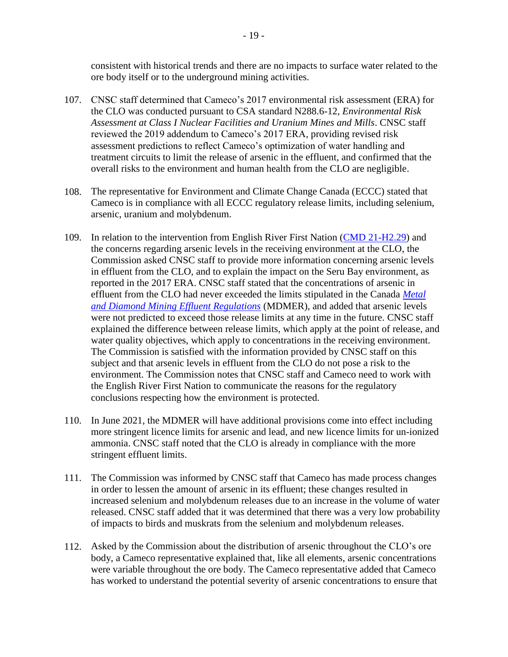consistent with historical trends and there are no impacts to surface water related to the ore body itself or to the underground mining activities.

- 107. CNSC staff determined that Cameco's 2017 environmental risk assessment (ERA) for the CLO was conducted pursuant to CSA standard N288.6-12, *Environmental Risk Assessment at Class I Nuclear Facilities and Uranium Mines and Mills*. CNSC staff reviewed the 2019 addendum to Cameco's 2017 ERA, providing revised risk assessment predictions to reflect Cameco's optimization of water handling and treatment circuits to limit the release of arsenic in the effluent, and confirmed that the overall risks to the environment and human health from the CLO are negligible.
- 108. The representative for Environment and Climate Change Canada (ECCC) stated that Cameco is in compliance with all ECCC regulatory release limits, including selenium, arsenic, uranium and molybdenum.
- 109. In relation to the intervention from English River First Nation [\(CMD 21-H2.29\)](https://www.nuclearsafety.gc.ca/eng/the-commission/hearings/cmd/pdf/CMD21/CMD21-H2-29.pdf) and the concerns regarding arsenic levels in the receiving environment at the CLO, the Commission asked CNSC staff to provide more information concerning arsenic levels in effluent from the CLO, and to explain the impact on the Seru Bay environment, as reported in the 2017 ERA. CNSC staff stated that the concentrations of arsenic in effluent from the CLO had never exceeded the limits stipulated in the Canada *[Metal](https://laws-lois.justice.gc.ca/eng/regulations/SOR-2002-222/FullText.html#:~:text=SCHEDULE%202%20%28Subsections%205%20%281%29%20and%2027.1%20%281%29%29,being%20wi%20...%20%2018%20more%20rows%20)  [and Diamond Mining Effluent Regulations](https://laws-lois.justice.gc.ca/eng/regulations/SOR-2002-222/FullText.html#:~:text=SCHEDULE%202%20%28Subsections%205%20%281%29%20and%2027.1%20%281%29%29,being%20wi%20...%20%2018%20more%20rows%20)* (MDMER), and added that arsenic levels were not predicted to exceed those release limits at any time in the future. CNSC staff explained the difference between release limits, which apply at the point of release, and water quality objectives, which apply to concentrations in the receiving environment. The Commission is satisfied with the information provided by CNSC staff on this subject and that arsenic levels in effluent from the CLO do not pose a risk to the environment. The Commission notes that CNSC staff and Cameco need to work with the English River First Nation to communicate the reasons for the regulatory conclusions respecting how the environment is protected.
- 110. In June 2021, the MDMER will have additional provisions come into effect including more stringent licence limits for arsenic and lead, and new licence limits for un-ionized ammonia. CNSC staff noted that the CLO is already in compliance with the more stringent effluent limits.
- 111. The Commission was informed by CNSC staff that Cameco has made process changes in order to lessen the amount of arsenic in its effluent; these changes resulted in increased selenium and molybdenum releases due to an increase in the volume of water released. CNSC staff added that it was determined that there was a very low probability of impacts to birds and muskrats from the selenium and molybdenum releases.
- 112. Asked by the Commission about the distribution of arsenic throughout the CLO's ore body, a Cameco representative explained that, like all elements, arsenic concentrations were variable throughout the ore body. The Cameco representative added that Cameco has worked to understand the potential severity of arsenic concentrations to ensure that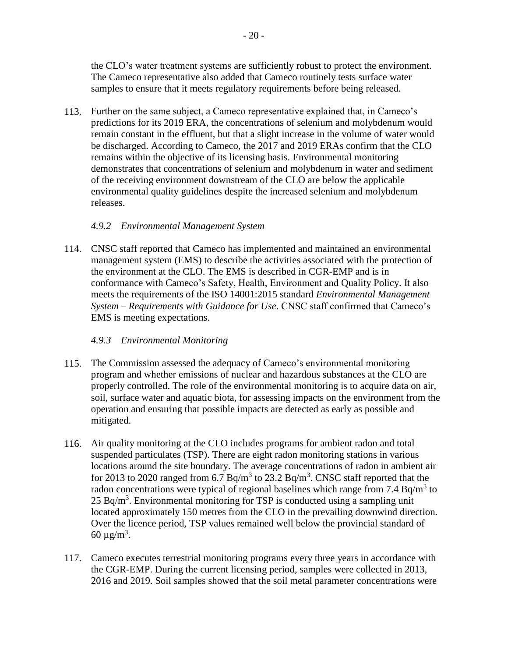the CLO's water treatment systems are sufficiently robust to protect the environment. The Cameco representative also added that Cameco routinely tests surface water samples to ensure that it meets regulatory requirements before being released.

113. Further on the same subject, a Cameco representative explained that, in Cameco's predictions for its 2019 ERA, the concentrations of selenium and molybdenum would remain constant in the effluent, but that a slight increase in the volume of water would be discharged. According to Cameco, the 2017 and 2019 ERAs confirm that the CLO remains within the objective of its licensing basis. Environmental monitoring demonstrates that concentrations of selenium and molybdenum in water and sediment of the receiving environment downstream of the CLO are below the applicable environmental quality guidelines despite the increased selenium and molybdenum releases.

#### <span id="page-24-0"></span>*4.9.2 Environmental Management System*

114. CNSC staff reported that Cameco has implemented and maintained an environmental management system (EMS) to describe the activities associated with the protection of the environment at the CLO. The EMS is described in CGR-EMP and is in conformance with Cameco's Safety, Health, Environment and Quality Policy. It also meets the requirements of the ISO 14001:2015 standard *Environmental Management System – Requirements with Guidance for Use*. CNSC staff confirmed that Cameco's EMS is meeting expectations.

## <span id="page-24-1"></span>*4.9.3 Environmental Monitoring*

- 115. The Commission assessed the adequacy of Cameco's environmental monitoring program and whether emissions of nuclear and hazardous substances at the CLO are properly controlled. The role of the environmental monitoring is to acquire data on air, soil, surface water and aquatic biota, for assessing impacts on the environment from the operation and ensuring that possible impacts are detected as early as possible and mitigated.
- 116. Air quality monitoring at the CLO includes programs for ambient radon and total suspended particulates (TSP). There are eight radon monitoring stations in various locations around the site boundary. The average concentrations of radon in ambient air for 2013 to 2020 ranged from 6.7 Bq/m<sup>3</sup> to 23.2 Bq/m<sup>3</sup>. CNSC staff reported that the radon concentrations were typical of regional baselines which range from  $7.4 \text{ Bq/m}^3$  to  $25$  Bq/m<sup>3</sup>. Environmental monitoring for TSP is conducted using a sampling unit located approximately 150 metres from the CLO in the prevailing downwind direction. Over the licence period, TSP values remained well below the provincial standard of 60  $\mu$ g/m<sup>3</sup>.
- 117. Cameco executes terrestrial monitoring programs every three years in accordance with the CGR-EMP. During the current licensing period, samples were collected in 2013, 2016 and 2019. Soil samples showed that the soil metal parameter concentrations were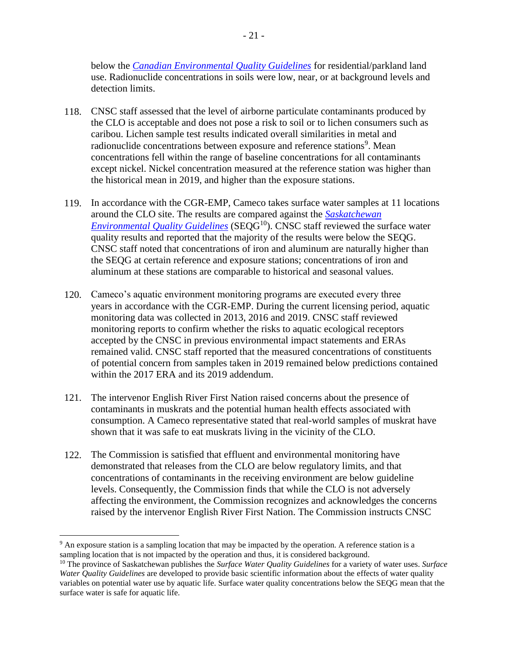below the *[Canadian Environmental Quality Guidelines](https://ccme.ca/en/current-activities/canadian-environmental-quality-guidelines)* for residential/parkland land use. Radionuclide concentrations in soils were low, near, or at background levels and detection limits.

- 118. CNSC staff assessed that the level of airborne particulate contaminants produced by the CLO is acceptable and does not pose a risk to soil or to lichen consumers such as caribou. Lichen sample test results indicated overall similarities in metal and radionuclide concentrations between exposure and reference stations<sup>9</sup>. Mean concentrations fell within the range of baseline concentrations for all contaminants except nickel. Nickel concentration measured at the reference station was higher than the historical mean in 2019, and higher than the exposure stations.
- 119. In accordance with the CGR-EMP, Cameco takes surface water samples at 11 locations around the CLO site. The results are compared against the *[Saskatchewan](https://envrbrportal.crm.saskatchewan.ca/seqg/)  [Environmental Quality Guidelines](https://envrbrportal.crm.saskatchewan.ca/seqg/)* (SEQG<sup>10</sup>). CNSC staff reviewed the surface water quality results and reported that the majority of the results were below the SEQG. CNSC staff noted that concentrations of iron and aluminum are naturally higher than the SEQG at certain reference and exposure stations; concentrations of iron and aluminum at these stations are comparable to historical and seasonal values.
- 120. Cameco's aquatic environment monitoring programs are executed every three years in accordance with the CGR-EMP. During the current licensing period, aquatic monitoring data was collected in 2013, 2016 and 2019. CNSC staff reviewed monitoring reports to confirm whether the risks to aquatic ecological receptors accepted by the CNSC in previous environmental impact statements and ERAs remained valid. CNSC staff reported that the measured concentrations of constituents of potential concern from samples taken in 2019 remained below predictions contained within the 2017 ERA and its 2019 addendum.
- 121. The intervenor English River First Nation raised concerns about the presence of contaminants in muskrats and the potential human health effects associated with consumption. A Cameco representative stated that real-world samples of muskrat have shown that it was safe to eat muskrats living in the vicinity of the CLO.
- 122. The Commission is satisfied that effluent and environmental monitoring have demonstrated that releases from the CLO are below regulatory limits, and that concentrations of contaminants in the receiving environment are below guideline levels. Consequently, the Commission finds that while the CLO is not adversely affecting the environment, the Commission recognizes and acknowledges the concerns raised by the intervenor English River First Nation. The Commission instructs CNSC

 $\overline{a}$ 

<sup>9</sup> An exposure station is a sampling location that may be impacted by the operation. A reference station is a sampling location that is not impacted by the operation and thus, it is considered background.

<sup>10</sup> The province of Saskatchewan publishes the *Surface Water Quality Guidelines* for a variety of water uses. *Surface Water Quality Guidelines* are developed to provide basic scientific information about the effects of water quality variables on potential water use by aquatic life. Surface water quality concentrations below the SEQG mean that the surface water is safe for aquatic life.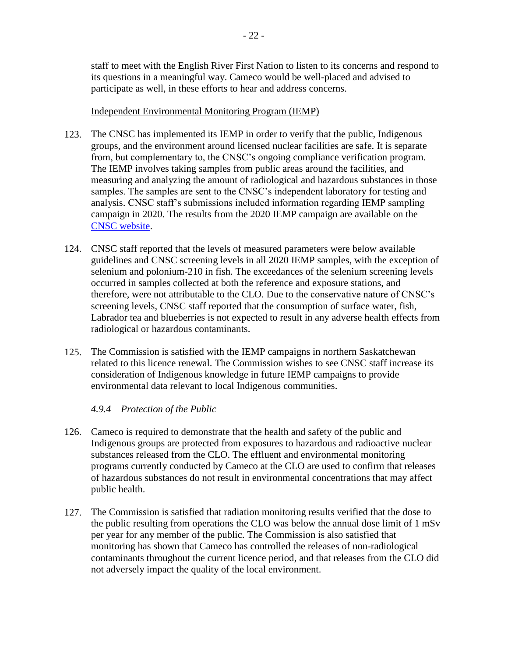staff to meet with the English River First Nation to listen to its concerns and respond to its questions in a meaningful way. Cameco would be well-placed and advised to participate as well, in these efforts to hear and address concerns.

#### Independent Environmental Monitoring Program (IEMP)

- 123. The CNSC has implemented its IEMP in order to verify that the public, Indigenous groups, and the environment around licensed nuclear facilities are safe. It is separate from, but complementary to, the CNSC's ongoing compliance verification program. The IEMP involves taking samples from public areas around the facilities, and measuring and analyzing the amount of radiological and hazardous substances in those samples. The samples are sent to the CNSC's independent laboratory for testing and analysis. CNSC staff's submissions included information regarding IEMP sampling campaign in 2020. The results from the 2020 IEMP campaign are available on the [CNSC website.](https://www.nuclearsafety.gc.ca/eng/resources/maps-of-nuclear-facilities/iemp/cigar-lake.cfm)
- 124. CNSC staff reported that the levels of measured parameters were below available guidelines and CNSC screening levels in all 2020 IEMP samples, with the exception of selenium and polonium-210 in fish. The exceedances of the selenium screening levels occurred in samples collected at both the reference and exposure stations, and therefore, were not attributable to the CLO. Due to the conservative nature of CNSC's screening levels, CNSC staff reported that the consumption of surface water, fish, Labrador tea and blueberries is not expected to result in any adverse health effects from radiological or hazardous contaminants.
- 125. The Commission is satisfied with the IEMP campaigns in northern Saskatchewan related to this licence renewal. The Commission wishes to see CNSC staff increase its consideration of Indigenous knowledge in future IEMP campaigns to provide environmental data relevant to local Indigenous communities.

## <span id="page-26-0"></span>*4.9.4 Protection of the Public*

- 126. Cameco is required to demonstrate that the health and safety of the public and Indigenous groups are protected from exposures to hazardous and radioactive nuclear substances released from the CLO. The effluent and environmental monitoring programs currently conducted by Cameco at the CLO are used to confirm that releases of hazardous substances do not result in environmental concentrations that may affect public health.
- 127. The Commission is satisfied that radiation monitoring results verified that the dose to the public resulting from operations the CLO was below the annual dose limit of 1 mSv per year for any member of the public. The Commission is also satisfied that monitoring has shown that Cameco has controlled the releases of non-radiological contaminants throughout the current licence period, and that releases from the CLO did not adversely impact the quality of the local environment.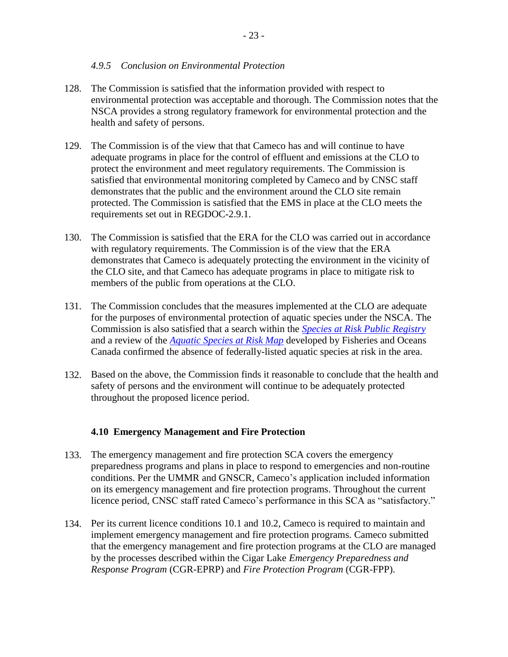#### <span id="page-27-0"></span>*4.9.5 Conclusion on Environmental Protection*

- 128. The Commission is satisfied that the information provided with respect to environmental protection was acceptable and thorough. The Commission notes that the NSCA provides a strong regulatory framework for environmental protection and the health and safety of persons.
- 129. The Commission is of the view that that Cameco has and will continue to have adequate programs in place for the control of effluent and emissions at the CLO to protect the environment and meet regulatory requirements. The Commission is satisfied that environmental monitoring completed by Cameco and by CNSC staff demonstrates that the public and the environment around the CLO site remain protected. The Commission is satisfied that the EMS in place at the CLO meets the requirements set out in REGDOC-2.9.1.
- 130. The Commission is satisfied that the ERA for the CLO was carried out in accordance with regulatory requirements. The Commission is of the view that the ERA demonstrates that Cameco is adequately protecting the environment in the vicinity of the CLO site, and that Cameco has adequate programs in place to mitigate risk to members of the public from operations at the CLO.
- 131. The Commission concludes that the measures implemented at the CLO are adequate for the purposes of environmental protection of aquatic species under the NSCA. The Commission is also satisfied that a search within the *[Species at Risk Public Registry](http://www.sararegistry.gc.ca/)* and a review of the *[Aquatic Species at Risk Map](https://www.dfo-mpo.gc.ca/species-especes/sara-lep/map-carte/index-eng.html)* developed by Fisheries and Oceans Canada confirmed the absence of federally-listed aquatic species at risk in the area.
- 132. Based on the above, the Commission finds it reasonable to conclude that the health and safety of persons and the environment will continue to be adequately protected throughout the proposed licence period.

#### <span id="page-27-1"></span>**4.10 Emergency Management and Fire Protection**

- 133. The emergency management and fire protection SCA covers the emergency preparedness programs and plans in place to respond to emergencies and non-routine conditions. Per the UMMR and GNSCR, Cameco's application included information on its emergency management and fire protection programs. Throughout the current licence period, CNSC staff rated Cameco's performance in this SCA as "satisfactory."
- 134. Per its current licence conditions 10.1 and 10.2, Cameco is required to maintain and implement emergency management and fire protection programs. Cameco submitted that the emergency management and fire protection programs at the CLO are managed by the processes described within the Cigar Lake *Emergency Preparedness and Response Program* (CGR-EPRP) and *Fire Protection Program* (CGR-FPP).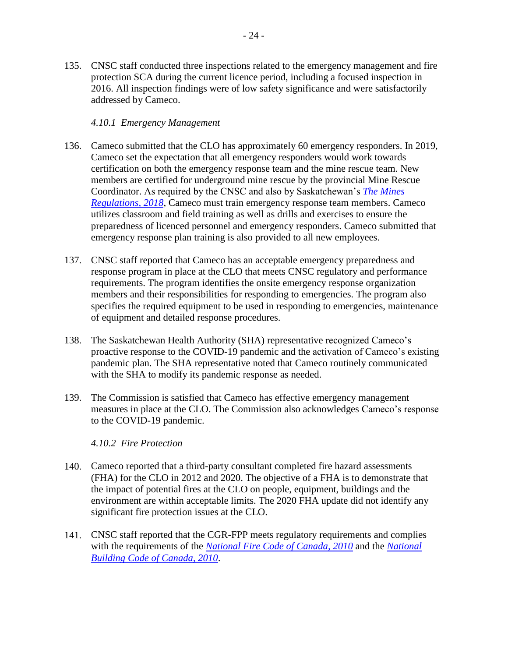#### <span id="page-28-0"></span>*4.10.1 Emergency Management*

- 136. Cameco submitted that the CLO has approximately 60 emergency responders. In 2019, Cameco set the expectation that all emergency responders would work towards certification on both the emergency response team and the mine rescue team. New members are certified for underground mine rescue by the provincial Mine Rescue Coordinator. As required by the CNSC and also by Saskatchewan's *[The Mines](https://pubsaskdev.blob.core.windows.net/pubsask-prod/110687/S15-1r8.pdf)  [Regulations,](https://pubsaskdev.blob.core.windows.net/pubsask-prod/110687/S15-1r8.pdf) 2018*, Cameco must train emergency response team members. Cameco utilizes classroom and field training as well as drills and exercises to ensure the preparedness of licenced personnel and emergency responders. Cameco submitted that emergency response plan training is also provided to all new employees.
- 137. CNSC staff reported that Cameco has an acceptable emergency preparedness and response program in place at the CLO that meets CNSC regulatory and performance requirements. The program identifies the onsite emergency response organization members and their responsibilities for responding to emergencies. The program also specifies the required equipment to be used in responding to emergencies, maintenance of equipment and detailed response procedures.
- 138. The Saskatchewan Health Authority (SHA) representative recognized Cameco's proactive response to the COVID-19 pandemic and the activation of Cameco's existing pandemic plan. The SHA representative noted that Cameco routinely communicated with the SHA to modify its pandemic response as needed.
- 139. The Commission is satisfied that Cameco has effective emergency management measures in place at the CLO. The Commission also acknowledges Cameco's response to the COVID-19 pandemic.

#### <span id="page-28-1"></span>*4.10.2 Fire Protection*

- 140. Cameco reported that a third-party consultant completed fire hazard assessments (FHA) for the CLO in 2012 and 2020. The objective of a FHA is to demonstrate that the impact of potential fires at the CLO on people, equipment, buildings and the environment are within acceptable limits. The 2020 FHA update did not identify any significant fire protection issues at the CLO.
- 141. CNSC staff reported that the CGR-FPP meets regulatory requirements and complies with the requirements of the *[National Fire Code of Canada, 2010](https://nrc-publications.canada.ca/eng/view/object/?id=ccf4fe55-1e9b-4758-9c55-bf24614295ff)* and the *[National](https://nrc-publications.canada.ca/eng/view/object/?id=cbd245df-bc91-4033-a538-fb20fcf536a1)  [Building Code of Canada, 2010](https://nrc-publications.canada.ca/eng/view/object/?id=cbd245df-bc91-4033-a538-fb20fcf536a1)*.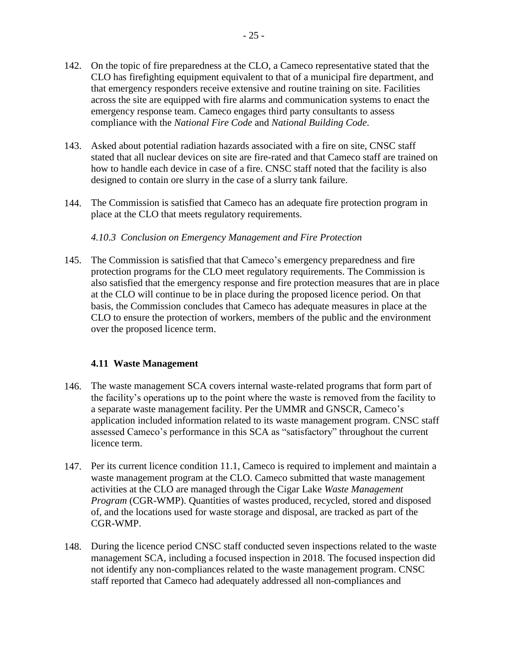- 142. On the topic of fire preparedness at the CLO, a Cameco representative stated that the CLO has firefighting equipment equivalent to that of a municipal fire department, and that emergency responders receive extensive and routine training on site. Facilities across the site are equipped with fire alarms and communication systems to enact the emergency response team. Cameco engages third party consultants to assess compliance with the *National Fire Code* and *National Building Code*.
- 143. Asked about potential radiation hazards associated with a fire on site, CNSC staff stated that all nuclear devices on site are fire-rated and that Cameco staff are trained on how to handle each device in case of a fire. CNSC staff noted that the facility is also designed to contain ore slurry in the case of a slurry tank failure.
- 144. The Commission is satisfied that Cameco has an adequate fire protection program in place at the CLO that meets regulatory requirements.

#### <span id="page-29-0"></span>*4.10.3 Conclusion on Emergency Management and Fire Protection*

145. The Commission is satisfied that that Cameco's emergency preparedness and fire protection programs for the CLO meet regulatory requirements. The Commission is also satisfied that the emergency response and fire protection measures that are in place at the CLO will continue to be in place during the proposed licence period. On that basis, the Commission concludes that Cameco has adequate measures in place at the CLO to ensure the protection of workers, members of the public and the environment over the proposed licence term.

#### <span id="page-29-1"></span>**4.11 Waste Management**

- 146. The waste management SCA covers internal waste-related programs that form part of the facility's operations up to the point where the waste is removed from the facility to a separate waste management facility. Per the UMMR and GNSCR, Cameco's application included information related to its waste management program. CNSC staff assessed Cameco's performance in this SCA as "satisfactory" throughout the current licence term.
- 147. Per its current licence condition 11.1, Cameco is required to implement and maintain a waste management program at the CLO. Cameco submitted that waste management activities at the CLO are managed through the Cigar Lake *Waste Management Program* (CGR-WMP). Quantities of wastes produced, recycled, stored and disposed of, and the locations used for waste storage and disposal, are tracked as part of the CGR-WMP.
- 148. During the licence period CNSC staff conducted seven inspections related to the waste management SCA, including a focused inspection in 2018. The focused inspection did not identify any non-compliances related to the waste management program. CNSC staff reported that Cameco had adequately addressed all non-compliances and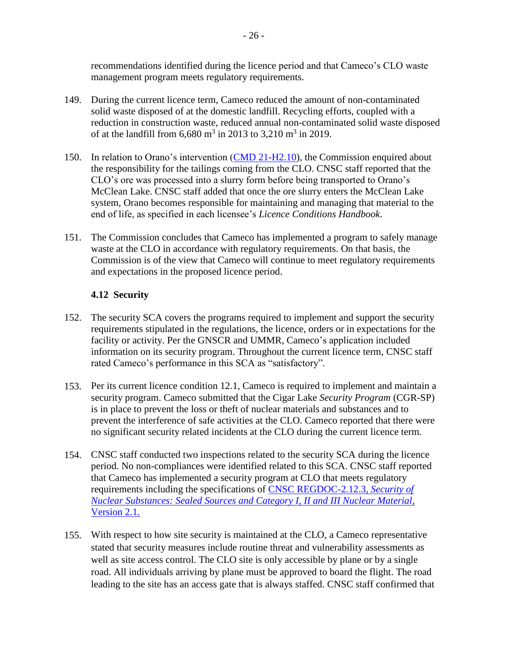recommendations identified during the licence period and that Cameco's CLO waste management program meets regulatory requirements.

- 149. During the current licence term, Cameco reduced the amount of non-contaminated solid waste disposed of at the domestic landfill. Recycling efforts, coupled with a reduction in construction waste, reduced annual non-contaminated solid waste disposed of at the landfill from  $6,680 \text{ m}^3$  in 2013 to 3,210 m<sup>3</sup> in 2019.
- 150. In relation to Orano's intervention [\(CMD 21-H2.10\)](https://www.nuclearsafety.gc.ca/eng/the-commission/hearings/cmd/pdf/CMD21/CMD21-H2-10.pdf), the Commission enquired about the responsibility for the tailings coming from the CLO. CNSC staff reported that the CLO's ore was processed into a slurry form before being transported to Orano's McClean Lake. CNSC staff added that once the ore slurry enters the McClean Lake system, Orano becomes responsible for maintaining and managing that material to the end of life, as specified in each licensee's *Licence Conditions Handbook*.
- 151. The Commission concludes that Cameco has implemented a program to safely manage waste at the CLO in accordance with regulatory requirements. On that basis, the Commission is of the view that Cameco will continue to meet regulatory requirements and expectations in the proposed licence period.

## <span id="page-30-0"></span>**4.12 Security**

- 152. The security SCA covers the programs required to implement and support the security requirements stipulated in the regulations, the licence, orders or in expectations for the facility or activity. Per the GNSCR and UMMR, Cameco's application included information on its security program. Throughout the current licence term, CNSC staff rated Cameco's performance in this SCA as "satisfactory".
- 153. Per its current licence condition 12.1, Cameco is required to implement and maintain a security program. Cameco submitted that the Cigar Lake *Security Program* (CGR-SP) is in place to prevent the loss or theft of nuclear materials and substances and to prevent the interference of safe activities at the CLO. Cameco reported that there were no significant security related incidents at the CLO during the current licence term.
- 154. CNSC staff conducted two inspections related to the security SCA during the licence period. No non-compliances were identified related to this SCA. CNSC staff reported that Cameco has implemented a security program at CLO that meets regulatory requirements including the specifications of [CNSC REGDOC-2.12.3,](http://nuclearsafety.gc.ca/eng/acts-and-regulations/regulatory-documents/published/html/regdoc2-12-3-v2-1/index.cfm) *Security of [Nuclear Substances: Sealed Sources and Category I, II and III Nuclear Material,](http://nuclearsafety.gc.ca/eng/acts-and-regulations/regulatory-documents/published/html/regdoc2-12-3-v2-1/index.cfm)*  [Version 2.1](http://nuclearsafety.gc.ca/eng/acts-and-regulations/regulatory-documents/published/html/regdoc2-12-3-v2-1/index.cfm)*.*
- 155. With respect to how site security is maintained at the CLO, a Cameco representative stated that security measures include routine threat and vulnerability assessments as well as site access control. The CLO site is only accessible by plane or by a single road. All individuals arriving by plane must be approved to board the flight. The road leading to the site has an access gate that is always staffed. CNSC staff confirmed that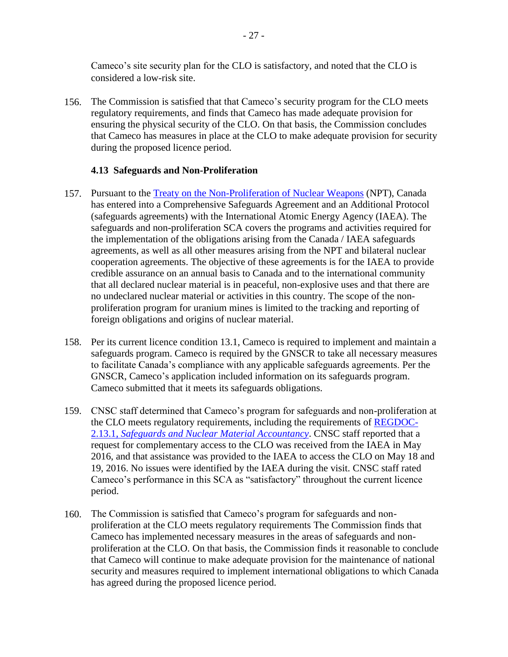Cameco's site security plan for the CLO is satisfactory, and noted that the CLO is considered a low-risk site.

156. The Commission is satisfied that that Cameco's security program for the CLO meets regulatory requirements, and finds that Cameco has made adequate provision for ensuring the physical security of the CLO. On that basis, the Commission concludes that Cameco has measures in place at the CLO to make adequate provision for security during the proposed licence period.

#### <span id="page-31-0"></span>**4.13 Safeguards and Non-Proliferation**

- 157. Pursuant to the [Treaty on the Non-Proliferation of Nuclear Weapons](https://www.un.org/disarmament/wmd/nuclear/npt/) (NPT), Canada has entered into a Comprehensive Safeguards Agreement and an Additional Protocol (safeguards agreements) with the International Atomic Energy Agency (IAEA). The safeguards and non-proliferation SCA covers the programs and activities required for the implementation of the obligations arising from the Canada / IAEA safeguards agreements, as well as all other measures arising from the NPT and bilateral nuclear cooperation agreements. The objective of these agreements is for the IAEA to provide credible assurance on an annual basis to Canada and to the international community that all declared nuclear material is in peaceful, non-explosive uses and that there are no undeclared nuclear material or activities in this country. The scope of the nonproliferation program for uranium mines is limited to the tracking and reporting of foreign obligations and origins of nuclear material.
- 158. Per its current licence condition 13.1, Cameco is required to implement and maintain a safeguards program. Cameco is required by the GNSCR to take all necessary measures to facilitate Canada's compliance with any applicable safeguards agreements. Per the GNSCR, Cameco's application included information on its safeguards program. Cameco submitted that it meets its safeguards obligations.
- 159. CNSC staff determined that Cameco's program for safeguards and non-proliferation at the CLO meets regulatory requirements, including the requirements of [REGDOC-](http://www.nuclearsafety.gc.ca/eng/acts-and-regulations/consultation/comment/regdoc2-13-1.cfm)2.13.1, *[Safeguards and Nuclear Material Accountancy](http://www.nuclearsafety.gc.ca/eng/acts-and-regulations/consultation/comment/regdoc2-13-1.cfm)*. CNSC staff reported that a request for complementary access to the CLO was received from the IAEA in May 2016, and that assistance was provided to the IAEA to access the CLO on May 18 and 19, 2016. No issues were identified by the IAEA during the visit. CNSC staff rated Cameco's performance in this SCA as "satisfactory" throughout the current licence period.
- 160. The Commission is satisfied that Cameco's program for safeguards and nonproliferation at the CLO meets regulatory requirements The Commission finds that Cameco has implemented necessary measures in the areas of safeguards and nonproliferation at the CLO. On that basis, the Commission finds it reasonable to conclude that Cameco will continue to make adequate provision for the maintenance of national security and measures required to implement international obligations to which Canada has agreed during the proposed licence period.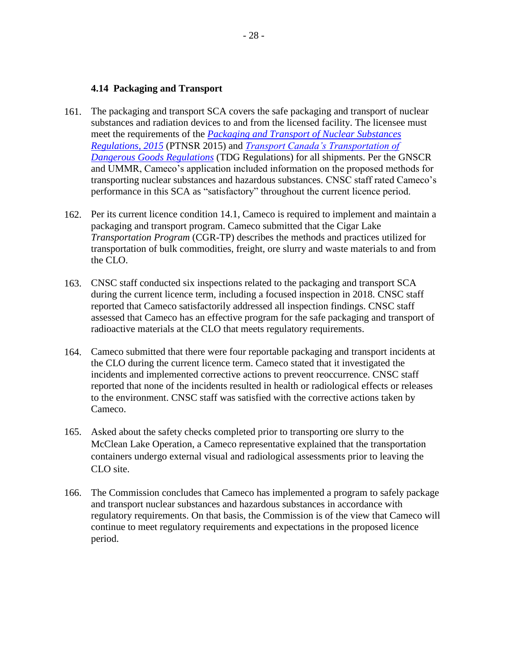#### <span id="page-32-0"></span>**4.14 Packaging and Transport**

- 161. The packaging and transport SCA covers the safe packaging and transport of nuclear substances and radiation devices to and from the licensed facility. The licensee must meet the requirements of the *[Packaging and Transport of Nuclear Substances](https://laws-lois.justice.gc.ca/eng/regulations/SOR-2015-145/index.html)  [Regulations, 2015](https://laws-lois.justice.gc.ca/eng/regulations/SOR-2015-145/index.html)* (PTNSR 2015) and *[Transport Canada's Transportation of](https://laws-lois.justice.gc.ca/eng/regulations/SOR-2001-286/index.html)  [Dangerous Goods Regulations](https://laws-lois.justice.gc.ca/eng/regulations/SOR-2001-286/index.html)* (TDG Regulations) for all shipments. Per the GNSCR and UMMR, Cameco's application included information on the proposed methods for transporting nuclear substances and hazardous substances. CNSC staff rated Cameco's performance in this SCA as "satisfactory" throughout the current licence period.
- 162. Per its current licence condition 14.1, Cameco is required to implement and maintain a packaging and transport program. Cameco submitted that the Cigar Lake *Transportation Program* (CGR-TP) describes the methods and practices utilized for transportation of bulk commodities, freight, ore slurry and waste materials to and from the CLO.
- 163. CNSC staff conducted six inspections related to the packaging and transport SCA during the current licence term, including a focused inspection in 2018. CNSC staff reported that Cameco satisfactorily addressed all inspection findings. CNSC staff assessed that Cameco has an effective program for the safe packaging and transport of radioactive materials at the CLO that meets regulatory requirements.
- 164. Cameco submitted that there were four reportable packaging and transport incidents at the CLO during the current licence term. Cameco stated that it investigated the incidents and implemented corrective actions to prevent reoccurrence. CNSC staff reported that none of the incidents resulted in health or radiological effects or releases to the environment. CNSC staff was satisfied with the corrective actions taken by Cameco.
- 165. Asked about the safety checks completed prior to transporting ore slurry to the McClean Lake Operation, a Cameco representative explained that the transportation containers undergo external visual and radiological assessments prior to leaving the CLO site.
- 166. The Commission concludes that Cameco has implemented a program to safely package and transport nuclear substances and hazardous substances in accordance with regulatory requirements. On that basis, the Commission is of the view that Cameco will continue to meet regulatory requirements and expectations in the proposed licence period.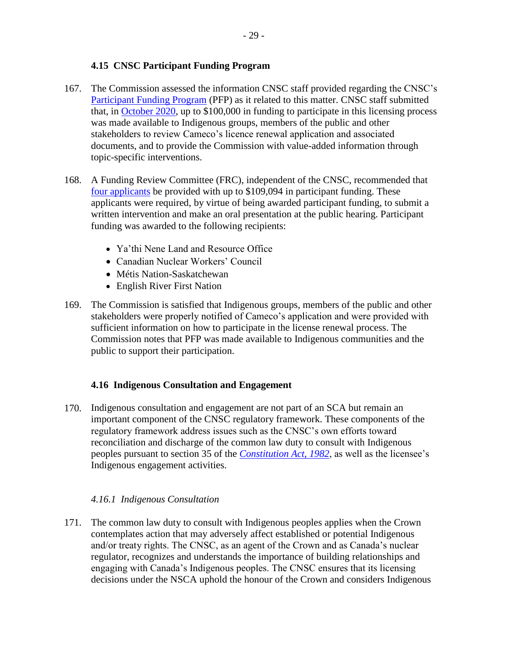## <span id="page-33-0"></span>**4.15 CNSC Participant Funding Program**

- 167. The Commission assessed the information CNSC staff provided regarding the CNSC's [Participant Funding Program](http://www.nuclearsafety.gc.ca/eng/the-commission/participant-funding-program/index.cfm) (PFP) as it related to this matter. CNSC staff submitted that, in [October 2020,](http://www.nuclearsafety.gc.ca/eng/the-commission/participant-funding-program/opportunities/2020pfp-funding-renewal-cameco-cigar-lake.cfm) up to \$100,000 in funding to participate in this licensing process was made available to Indigenous groups, members of the public and other stakeholders to review Cameco's licence renewal application and associated documents, and to provide the Commission with value-added information through topic-specific interventions.
- 168. A Funding Review Committee (FRC), independent of the CNSC, recommended that [four applicants](http://www.nuclearsafety.gc.ca/eng/the-commission/participant-funding-program/opportunities/pfp-funding-decision-cig.cfm) be provided with up to \$109,094 in participant funding. These applicants were required, by virtue of being awarded participant funding, to submit a written intervention and make an oral presentation at the public hearing. Participant funding was awarded to the following recipients:
	- Ya'thi Nene Land and Resource Office
	- Canadian Nuclear Workers' Council
	- Métis Nation-Saskatchewan
	- English River First Nation
- 169. The Commission is satisfied that Indigenous groups, members of the public and other stakeholders were properly notified of Cameco's application and were provided with sufficient information on how to participate in the license renewal process. The Commission notes that PFP was made available to Indigenous communities and the public to support their participation.

#### <span id="page-33-1"></span>**4.16 Indigenous Consultation and Engagement**

170. Indigenous consultation and engagement are not part of an SCA but remain an important component of the CNSC regulatory framework. These components of the regulatory framework address issues such as the CNSC's own efforts toward reconciliation and discharge of the common law duty to consult with Indigenous peoples pursuant to section 35 of the *[Constitution Act, 1982](https://laws-lois.justice.gc.ca/eng/const/index.html)*, as well as the licensee's Indigenous engagement activities.

#### <span id="page-33-2"></span>*4.16.1 Indigenous Consultation*

171. The common law duty to consult with Indigenous peoples applies when the Crown contemplates action that may adversely affect established or potential Indigenous and/or treaty rights. The CNSC, as an agent of the Crown and as Canada's nuclear regulator, recognizes and understands the importance of building relationships and engaging with Canada's Indigenous peoples. The CNSC ensures that its licensing decisions under the NSCA uphold the honour of the Crown and considers Indigenous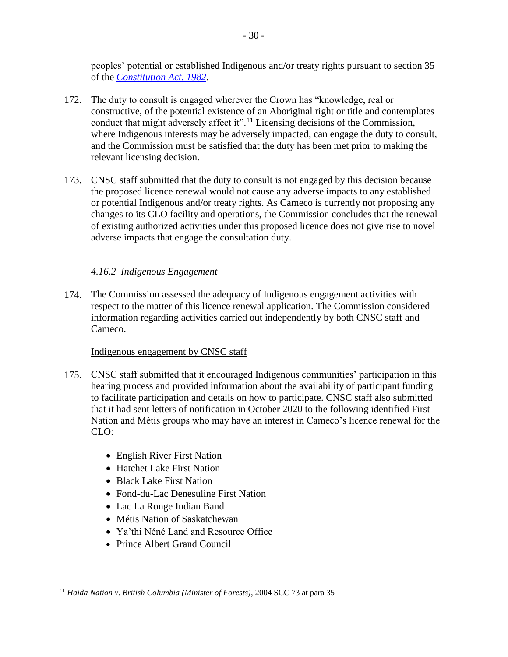peoples' potential or established Indigenous and/or treaty rights pursuant to section 35 of the *[Constitution Act, 1982](https://laws-lois.justice.gc.ca/eng/Const/page-15.html#h-38)*.

- 172. The duty to consult is engaged wherever the Crown has "knowledge, real or constructive, of the potential existence of an Aboriginal right or title and contemplates conduct that might adversely affect it".<sup>11</sup> Licensing decisions of the Commission, where Indigenous interests may be adversely impacted, can engage the duty to consult, and the Commission must be satisfied that the duty has been met prior to making the relevant licensing decision.
- 173. CNSC staff submitted that the duty to consult is not engaged by this decision because the proposed licence renewal would not cause any adverse impacts to any established or potential Indigenous and/or treaty rights. As Cameco is currently not proposing any changes to its CLO facility and operations, the Commission concludes that the renewal of existing authorized activities under this proposed licence does not give rise to novel adverse impacts that engage the consultation duty.

#### <span id="page-34-0"></span>*4.16.2 Indigenous Engagement*

174. The Commission assessed the adequacy of Indigenous engagement activities with respect to the matter of this licence renewal application. The Commission considered information regarding activities carried out independently by both CNSC staff and Cameco.

#### Indigenous engagement by CNSC staff

- 175. CNSC staff submitted that it encouraged Indigenous communities' participation in this hearing process and provided information about the availability of participant funding to facilitate participation and details on how to participate. CNSC staff also submitted that it had sent letters of notification in October 2020 to the following identified First Nation and Métis groups who may have an interest in Cameco's licence renewal for the  $CLO:$ 
	- English River First Nation
	- Hatchet Lake First Nation
	- Black Lake First Nation
	- Fond-du-Lac Denesuline First Nation
	- Lac La Ronge Indian Band
	- Métis Nation of Saskatchewan
	- Ya'thi Néné Land and Resource Office
	- Prince Albert Grand Council

 $\overline{a}$ <sup>11</sup> *Haida Nation v. British Columbia (Minister of Forests)*, 2004 SCC 73 at para 35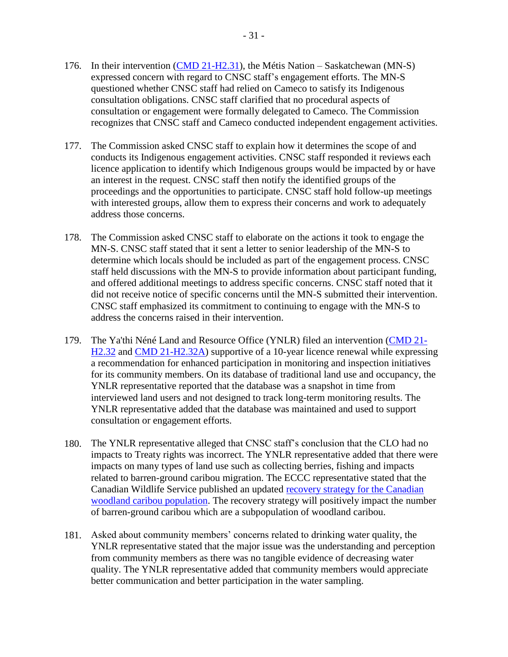- 176. In their intervention [\(CMD 21-H2.31\)](https://www.nuclearsafety.gc.ca/eng/the-commission/hearings/cmd/pdf/CMD21/CMD21-H2-31.pdf), the Métis Nation Saskatchewan (MN-S) expressed concern with regard to CNSC staff's engagement efforts. The MN-S questioned whether CNSC staff had relied on Cameco to satisfy its Indigenous consultation obligations. CNSC staff clarified that no procedural aspects of consultation or engagement were formally delegated to Cameco. The Commission recognizes that CNSC staff and Cameco conducted independent engagement activities.
- 177. The Commission asked CNSC staff to explain how it determines the scope of and conducts its Indigenous engagement activities. CNSC staff responded it reviews each licence application to identify which Indigenous groups would be impacted by or have an interest in the request. CNSC staff then notify the identified groups of the proceedings and the opportunities to participate. CNSC staff hold follow-up meetings with interested groups, allow them to express their concerns and work to adequately address those concerns.
- 178. The Commission asked CNSC staff to elaborate on the actions it took to engage the MN-S. CNSC staff stated that it sent a letter to senior leadership of the MN-S to determine which locals should be included as part of the engagement process. CNSC staff held discussions with the MN-S to provide information about participant funding, and offered additional meetings to address specific concerns. CNSC staff noted that it did not receive notice of specific concerns until the MN-S submitted their intervention. CNSC staff emphasized its commitment to continuing to engage with the MN-S to address the concerns raised in their intervention.
- 179. The Ya'thi Néné Land and Resource Office (YNLR) filed an intervention [\(CMD 21-](https://www.nuclearsafety.gc.ca/eng/the-commission/hearings/cmd/pdf/CMD21/CMD21-H2-32.pdf) [H2.32](https://www.nuclearsafety.gc.ca/eng/the-commission/hearings/cmd/pdf/CMD21/CMD21-H2-32.pdf) and [CMD 21-H2.32A\)](https://www.nuclearsafety.gc.ca/eng/the-commission/hearings/cmd/pdf/CMD21/CMD21-H2-32A.pdf) supportive of a 10-year licence renewal while expressing a recommendation for enhanced participation in monitoring and inspection initiatives for its community members. On its database of traditional land use and occupancy, the YNLR representative reported that the database was a snapshot in time from interviewed land users and not designed to track long-term monitoring results. The YNLR representative added that the database was maintained and used to support consultation or engagement efforts.
- 180. The YNLR representative alleged that CNSC staff's conclusion that the CLO had no impacts to Treaty rights was incorrect. The YNLR representative added that there were impacts on many types of land use such as collecting berries, fishing and impacts related to barren-ground caribou migration. The ECCC representative stated that the Canadian Wildlife Service published an updated [recovery strategy for the Canadian](https://www.canada.ca/en/environment-climate-change/services/species-risk-public-registry/recovery-strategies/woodland-caribou-boreal-2019.html)  [woodland caribou population.](https://www.canada.ca/en/environment-climate-change/services/species-risk-public-registry/recovery-strategies/woodland-caribou-boreal-2019.html) The recovery strategy will positively impact the number of barren-ground caribou which are a subpopulation of woodland caribou.
- 181. Asked about community members' concerns related to drinking water quality, the YNLR representative stated that the major issue was the understanding and perception from community members as there was no tangible evidence of decreasing water quality. The YNLR representative added that community members would appreciate better communication and better participation in the water sampling.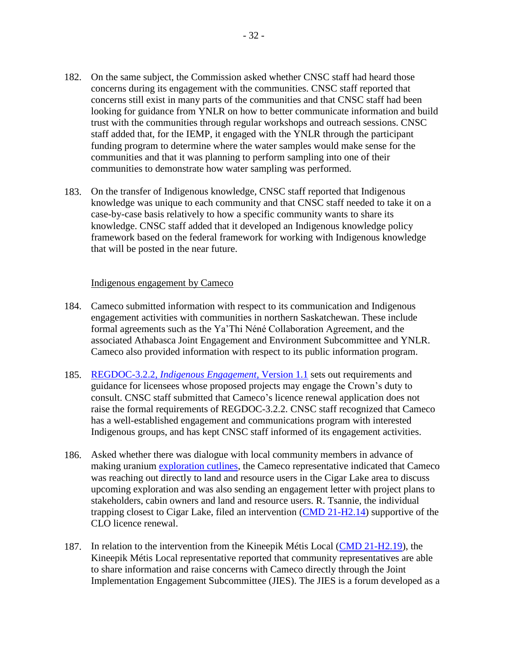- 182. On the same subject, the Commission asked whether CNSC staff had heard those concerns during its engagement with the communities. CNSC staff reported that concerns still exist in many parts of the communities and that CNSC staff had been looking for guidance from YNLR on how to better communicate information and build trust with the communities through regular workshops and outreach sessions. CNSC staff added that, for the IEMP, it engaged with the YNLR through the participant funding program to determine where the water samples would make sense for the communities and that it was planning to perform sampling into one of their communities to demonstrate how water sampling was performed.
- 183. On the transfer of Indigenous knowledge, CNSC staff reported that Indigenous knowledge was unique to each community and that CNSC staff needed to take it on a case-by-case basis relatively to how a specific community wants to share its knowledge. CNSC staff added that it developed an Indigenous knowledge policy framework based on the federal framework for working with Indigenous knowledge that will be posted in the near future.

#### Indigenous engagement by Cameco

- 184. Cameco submitted information with respect to its communication and Indigenous engagement activities with communities in northern Saskatchewan. These include formal agreements such as the Ya'Thi Néné Collaboration Agreement, and the associated Athabasca Joint Engagement and Environment Subcommittee and YNLR. Cameco also provided information with respect to its public information program.
- 185. REGDOC-3.2.2, *[Indigenous Engagement](https://www.nuclearsafety.gc.ca/pubs_catalogue/uploads/REGDOC-3-2-2-Aboriginal-Engagement-version-1.1-eng.pdf)*, Version 1.1 sets out requirements and guidance for licensees whose proposed projects may engage the Crown's duty to consult. CNSC staff submitted that Cameco's licence renewal application does not raise the formal requirements of REGDOC-3.2.2. CNSC staff recognized that Cameco has a well-established engagement and communications program with interested Indigenous groups, and has kept CNSC staff informed of its engagement activities.
- 186. Asked whether there was dialogue with local community members in advance of making uranium [exploration cutlines,](https://www.mndm.gov.on.ca/sites/default/files/line-cutting-activity-e.pdf) the Cameco representative indicated that Cameco was reaching out directly to land and resource users in the Cigar Lake area to discuss upcoming exploration and was also sending an engagement letter with project plans to stakeholders, cabin owners and land and resource users. R. Tsannie, the individual trapping closest to Cigar Lake, filed an intervention [\(CMD 21-H2.14\)](https://www.nuclearsafety.gc.ca/eng/the-commission/hearings/cmd/pdf/CMD21/CMD21-H2-14.pdf) supportive of the CLO licence renewal.
- 187. In relation to the intervention from the Kineepik Métis Local [\(CMD 21-H2.19\)](https://www.nuclearsafety.gc.ca/eng/the-commission/hearings/cmd/pdf/CMD21/CMD21-H2-19.pdf), the Kineepik Métis Local representative reported that community representatives are able to share information and raise concerns with Cameco directly through the Joint Implementation Engagement Subcommittee (JIES). The JIES is a forum developed as a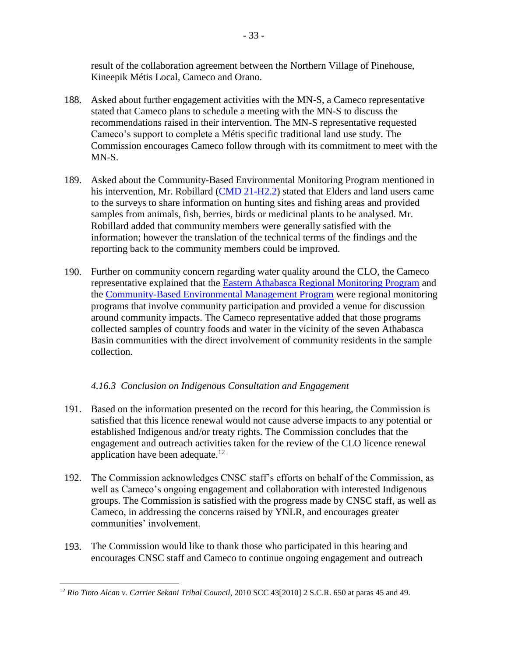result of the collaboration agreement between the Northern Village of Pinehouse, Kineepik Métis Local, Cameco and Orano.

- 188. Asked about further engagement activities with the MN-S, a Cameco representative stated that Cameco plans to schedule a meeting with the MN-S to discuss the recommendations raised in their intervention. The MN-S representative requested Cameco's support to complete a Métis specific traditional land use study. The Commission encourages Cameco follow through with its commitment to meet with the MN-S.
- 189. Asked about the Community-Based Environmental Monitoring Program mentioned in his intervention, Mr. Robillard [\(CMD 21-H2.2\)](https://www.nuclearsafety.gc.ca/eng/the-commission/hearings/cmd/pdf/CMD21/CMD21-H2-2.pdf) stated that Elders and land users came to the surveys to share information on hunting sites and fishing areas and provided samples from animals, fish, berries, birds or medicinal plants to be analysed. Mr. Robillard added that community members were generally satisfied with the information; however the translation of the technical terms of the findings and the reporting back to the community members could be improved.
- 190. Further on community concern regarding water quality around the CLO, the Cameco representative explained that the [Eastern Athabasca Regional Monitoring Program](https://www.earmp.ca/#:~:text=The%20Eastern%20Athabasca%20Regional%20Monitoring%20Program%20(EARMP)&text=One%20of%20the%20primary%20goals,management%20practices%20in%20the%20region.) and the [Community-Based Environmental Management Program](https://www.cameconorth.com/environment/monitoring) were regional monitoring programs that involve community participation and provided a venue for discussion around community impacts. The Cameco representative added that those programs collected samples of country foods and water in the vicinity of the seven Athabasca Basin communities with the direct involvement of community residents in the sample collection.

## <span id="page-37-0"></span>*4.16.3 Conclusion on Indigenous Consultation and Engagement*

- 191. Based on the information presented on the record for this hearing, the Commission is satisfied that this licence renewal would not cause adverse impacts to any potential or established Indigenous and/or treaty rights. The Commission concludes that the engagement and outreach activities taken for the review of the CLO licence renewal application have been adequate.<sup>12</sup>
- 192. The Commission acknowledges CNSC staff's efforts on behalf of the Commission, as well as Cameco's ongoing engagement and collaboration with interested Indigenous groups. The Commission is satisfied with the progress made by CNSC staff, as well as Cameco, in addressing the concerns raised by YNLR, and encourages greater communities' involvement.
- 193. The Commission would like to thank those who participated in this hearing and encourages CNSC staff and Cameco to continue ongoing engagement and outreach

 $\overline{a}$ <sup>12</sup> *Rio Tinto Alcan v. Carrier Sekani Tribal Council,* 2010 SCC 43[2010] 2 S.C.R. 650 at paras 45 and 49.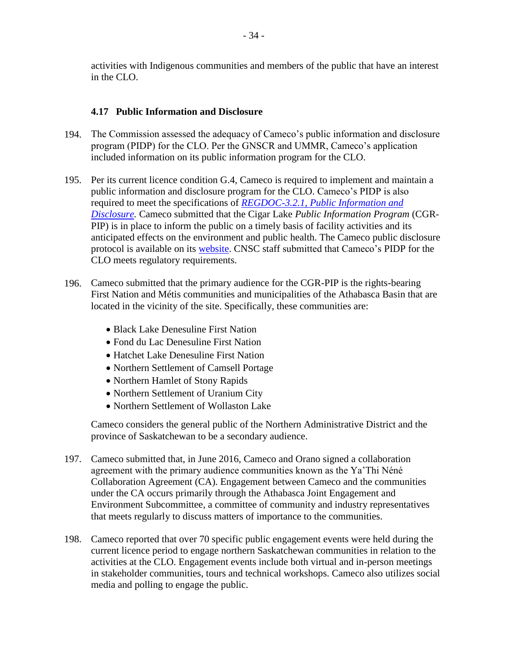activities with Indigenous communities and members of the public that have an interest in the CLO.

#### <span id="page-38-0"></span>**4.17 Public Information and Disclosure**

- 194. The Commission assessed the adequacy of Cameco's public information and disclosure program (PIDP) for the CLO. Per the GNSCR and UMMR, Cameco's application included information on its public information program for the CLO.
- 195. Per its current licence condition G.4, Cameco is required to implement and maintain a public information and disclosure program for the CLO. Cameco's PIDP is also required to meet the specifications of *[REGDOC-3.2.1, Public Information and](http://www.nuclearsafety.gc.ca/eng/acts-and-regulations/regulatory-documents/published/html/regdoc3-2-1/index.cfm)  [Disclosure.](http://www.nuclearsafety.gc.ca/eng/acts-and-regulations/regulatory-documents/published/html/regdoc3-2-1/index.cfm)* Cameco submitted that the Cigar Lake *Public Information Program* (CGR-PIP) is in place to inform the public on a timely basis of facility activities and its anticipated effects on the environment and public health. The Cameco public disclosure protocol is available on its [website.](https://www.cameconorth.com/about/public-disclosure) CNSC staff submitted that Cameco's PIDP for the CLO meets regulatory requirements.
- 196. Cameco submitted that the primary audience for the CGR-PIP is the rights-bearing First Nation and Métis communities and municipalities of the Athabasca Basin that are located in the vicinity of the site. Specifically, these communities are:
	- Black Lake Denesuline First Nation
	- Fond du Lac Denesuline First Nation
	- Hatchet Lake Denesuline First Nation
	- Northern Settlement of Camsell Portage
	- Northern Hamlet of Stony Rapids
	- Northern Settlement of Uranium City
	- Northern Settlement of Wollaston Lake

Cameco considers the general public of the Northern Administrative District and the province of Saskatchewan to be a secondary audience.

- 197. Cameco submitted that, in June 2016, Cameco and Orano signed a collaboration agreement with the primary audience communities known as the Ya'Thi Néné Collaboration Agreement (CA). Engagement between Cameco and the communities under the CA occurs primarily through the Athabasca Joint Engagement and Environment Subcommittee, a committee of community and industry representatives that meets regularly to discuss matters of importance to the communities.
- 198. Cameco reported that over 70 specific public engagement events were held during the current licence period to engage northern Saskatchewan communities in relation to the activities at the CLO. Engagement events include both virtual and in-person meetings in stakeholder communities, tours and technical workshops. Cameco also utilizes social media and polling to engage the public.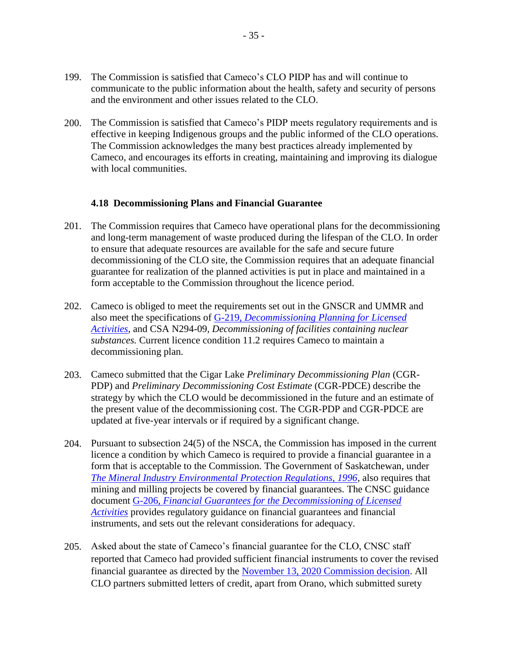- 199. The Commission is satisfied that Cameco's CLO PIDP has and will continue to communicate to the public information about the health, safety and security of persons and the environment and other issues related to the CLO.
- 200. The Commission is satisfied that Cameco's PIDP meets regulatory requirements and is effective in keeping Indigenous groups and the public informed of the CLO operations. The Commission acknowledges the many best practices already implemented by Cameco, and encourages its efforts in creating, maintaining and improving its dialogue with local communities.

#### <span id="page-39-0"></span>**4.18 Decommissioning Plans and Financial Guarantee**

- 201. The Commission requires that Cameco have operational plans for the decommissioning and long-term management of waste produced during the lifespan of the CLO. In order to ensure that adequate resources are available for the safe and secure future decommissioning of the CLO site, the Commission requires that an adequate financial guarantee for realization of the planned activities is put in place and maintained in a form acceptable to the Commission throughout the licence period.
- 202. Cameco is obliged to meet the requirements set out in the GNSCR and UMMR and also meet the specifications of G-219, *[Decommissioning Planning for Licensed](http://www.nuclearsafety.gc.ca/pubs_catalogue/uploads/G219_e.pdf)  [Activities](http://www.nuclearsafety.gc.ca/pubs_catalogue/uploads/G219_e.pdf)*, and CSA N294-09, *Decommissioning of facilities containing nuclear substances.* Current licence condition 11.2 requires Cameco to maintain a decommissioning plan.
- 203. Cameco submitted that the Cigar Lake *Preliminary Decommissioning Plan* (CGR-PDP) and *Preliminary Decommissioning Cost Estimate* (CGR-PDCE) describe the strategy by which the CLO would be decommissioned in the future and an estimate of the present value of the decommissioning cost. The CGR-PDP and CGR-PDCE are updated at five-year intervals or if required by a significant change.
- 204. Pursuant to subsection 24(5) of the NSCA, the Commission has imposed in the current licence a condition by which Cameco is required to provide a financial guarantee in a form that is acceptable to the Commission. The Government of Saskatchewan, under *[The Mineral Industry Environmental Protection Regulations, 1996](https://pubsaskdev.blob.core.windows.net/pubsask-prod/1757/E10-2r7.pdf)*, also requires that mining and milling projects be covered by financial guarantees. The CNSC guidance document G-206, *[Financial Guarantees for the Decommissioning of Licensed](http://www.nuclearsafety.gc.ca/pubs_catalogue/uploads/G206_e.pdf)  [Activities](http://www.nuclearsafety.gc.ca/pubs_catalogue/uploads/G206_e.pdf)* provides regulatory guidance on financial guarantees and financial instruments, and sets out the relevant considerations for adequacy.
- 205. Asked about the state of Cameco's financial guarantee for the CLO, CNSC staff reported that Cameco had provided sufficient financial instruments to cover the revised financial guarantee as directed by the [November 13, 2020 Commission decision.](http://nuclearsafety.gc.ca/eng/the-commission/pdf/Decision-Cameco-CigarLake-20-H108-e.pdf) All CLO partners submitted letters of credit, apart from Orano, which submitted surety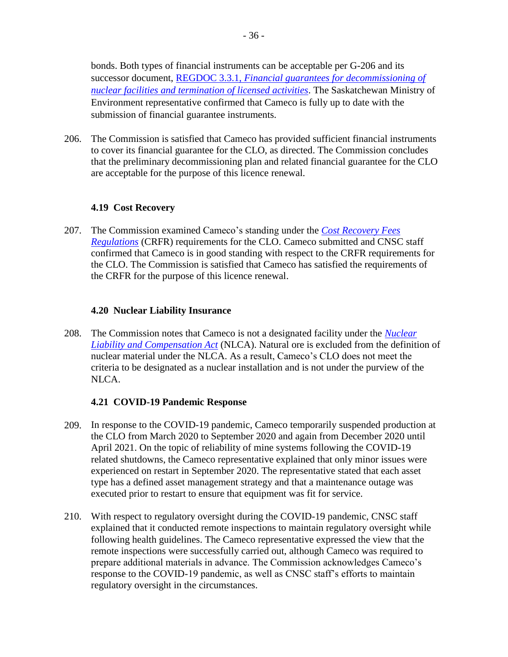bonds. Both types of financial instruments can be acceptable per G-206 and its successor document, REGDOC 3.3.1, *[Financial guarantees for decommissioning of](http://www.nuclearsafety.gc.ca/eng/acts-and-regulations/consultation/comment/regdoc3-3-1.cfm)  [nuclear facilities and termination of licensed activities](http://www.nuclearsafety.gc.ca/eng/acts-and-regulations/consultation/comment/regdoc3-3-1.cfm)*. The Saskatchewan Ministry of Environment representative confirmed that Cameco is fully up to date with the submission of financial guarantee instruments.

206. The Commission is satisfied that Cameco has provided sufficient financial instruments to cover its financial guarantee for the CLO, as directed. The Commission concludes that the preliminary decommissioning plan and related financial guarantee for the CLO are acceptable for the purpose of this licence renewal.

## <span id="page-40-0"></span>**4.19 Cost Recovery**

207. The Commission examined Cameco's standing under the *[Cost Recovery Fees](https://laws-lois.justice.gc.ca/eng/regulations/sor-2003-212/index.html)  [Regulations](https://laws-lois.justice.gc.ca/eng/regulations/sor-2003-212/index.html)* (CRFR) requirements for the CLO. Cameco submitted and CNSC staff confirmed that Cameco is in good standing with respect to the CRFR requirements for the CLO. The Commission is satisfied that Cameco has satisfied the requirements of the CRFR for the purpose of this licence renewal.

#### <span id="page-40-1"></span>**4.20 Nuclear Liability Insurance**

208. The Commission notes that Cameco is not a designated facility under the *[Nuclear](https://laws-lois.justice.gc.ca/eng/acts/n-28.1/FullText.html)  [Liability and Compensation Act](https://laws-lois.justice.gc.ca/eng/acts/n-28.1/FullText.html)* (NLCA). Natural ore is excluded from the definition of nuclear material under the NLCA. As a result, Cameco's CLO does not meet the criteria to be designated as a nuclear installation and is not under the purview of the NLCA.

#### <span id="page-40-2"></span>**4.21 COVID-19 Pandemic Response**

- 209. In response to the COVID-19 pandemic, Cameco temporarily suspended production at the CLO from March 2020 to September 2020 and again from December 2020 until April 2021. On the topic of reliability of mine systems following the COVID-19 related shutdowns, the Cameco representative explained that only minor issues were experienced on restart in September 2020. The representative stated that each asset type has a defined asset management strategy and that a maintenance outage was executed prior to restart to ensure that equipment was fit for service.
- 210. With respect to regulatory oversight during the COVID-19 pandemic, CNSC staff explained that it conducted remote inspections to maintain regulatory oversight while following health guidelines. The Cameco representative expressed the view that the remote inspections were successfully carried out, although Cameco was required to prepare additional materials in advance. The Commission acknowledges Cameco's response to the COVID-19 pandemic, as well as CNSC staff's efforts to maintain regulatory oversight in the circumstances.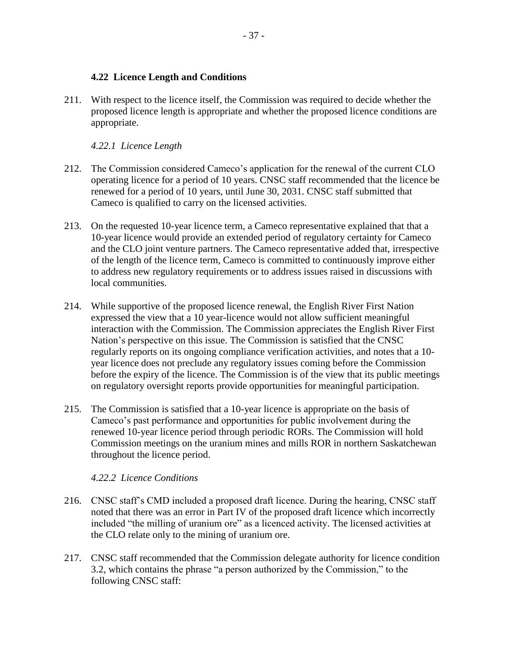#### <span id="page-41-0"></span>**4.22 Licence Length and Conditions**

211. With respect to the licence itself, the Commission was required to decide whether the proposed licence length is appropriate and whether the proposed licence conditions are appropriate.

## <span id="page-41-1"></span>*4.22.1 Licence Length*

- 212. The Commission considered Cameco's application for the renewal of the current CLO operating licence for a period of 10 years. CNSC staff recommended that the licence be renewed for a period of 10 years, until June 30, 2031. CNSC staff submitted that Cameco is qualified to carry on the licensed activities.
- 213. On the requested 10-year licence term, a Cameco representative explained that that a 10-year licence would provide an extended period of regulatory certainty for Cameco and the CLO joint venture partners. The Cameco representative added that, irrespective of the length of the licence term, Cameco is committed to continuously improve either to address new regulatory requirements or to address issues raised in discussions with local communities.
- 214. While supportive of the proposed licence renewal, the English River First Nation expressed the view that a 10 year-licence would not allow sufficient meaningful interaction with the Commission. The Commission appreciates the English River First Nation's perspective on this issue. The Commission is satisfied that the CNSC regularly reports on its ongoing compliance verification activities, and notes that a 10 year licence does not preclude any regulatory issues coming before the Commission before the expiry of the licence. The Commission is of the view that its public meetings on regulatory oversight reports provide opportunities for meaningful participation.
- 215. The Commission is satisfied that a 10-year licence is appropriate on the basis of Cameco's past performance and opportunities for public involvement during the renewed 10-year licence period through periodic RORs. The Commission will hold Commission meetings on the uranium mines and mills ROR in northern Saskatchewan throughout the licence period.

#### <span id="page-41-2"></span>*4.22.2 Licence Conditions*

- 216. CNSC staff's CMD included a proposed draft licence. During the hearing, CNSC staff noted that there was an error in Part IV of the proposed draft licence which incorrectly included "the milling of uranium ore" as a licenced activity. The licensed activities at the CLO relate only to the mining of uranium ore.
- 217. CNSC staff recommended that the Commission delegate authority for licence condition 3.2, which contains the phrase "a person authorized by the Commission," to the following CNSC staff: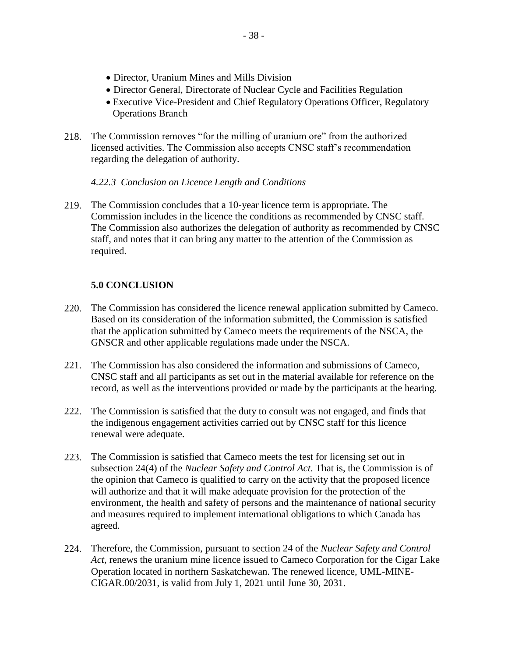- Director, Uranium Mines and Mills Division
- Director General, Directorate of Nuclear Cycle and Facilities Regulation
- Executive Vice-President and Chief Regulatory Operations Officer, Regulatory Operations Branch
- 218. The Commission removes "for the milling of uranium ore" from the authorized licensed activities. The Commission also accepts CNSC staff's recommendation regarding the delegation of authority.

#### <span id="page-42-0"></span>*4.22.3 Conclusion on Licence Length and Conditions*

219. The Commission concludes that a 10-year licence term is appropriate. The Commission includes in the licence the conditions as recommended by CNSC staff. The Commission also authorizes the delegation of authority as recommended by CNSC staff, and notes that it can bring any matter to the attention of the Commission as required.

## <span id="page-42-1"></span>**5.0 CONCLUSION**

- 220. The Commission has considered the licence renewal application submitted by Cameco. Based on its consideration of the information submitted, the Commission is satisfied that the application submitted by Cameco meets the requirements of the NSCA, the GNSCR and other applicable regulations made under the NSCA.
- 221. The Commission has also considered the information and submissions of Cameco, CNSC staff and all participants as set out in the material available for reference on the record, as well as the interventions provided or made by the participants at the hearing.
- 222. The Commission is satisfied that the duty to consult was not engaged, and finds that the indigenous engagement activities carried out by CNSC staff for this licence renewal were adequate.
- 223. The Commission is satisfied that Cameco meets the test for licensing set out in subsection 24(4) of the *Nuclear Safety and Control Act*. That is, the Commission is of the opinion that Cameco is qualified to carry on the activity that the proposed licence will authorize and that it will make adequate provision for the protection of the environment, the health and safety of persons and the maintenance of national security and measures required to implement international obligations to which Canada has agreed.
- 224. Therefore, the Commission, pursuant to section 24 of the *Nuclear Safety and Control Act*, renews the uranium mine licence issued to Cameco Corporation for the Cigar Lake Operation located in northern Saskatchewan. The renewed licence, UML-MINE-CIGAR.00/2031, is valid from July 1, 2021 until June 30, 2031.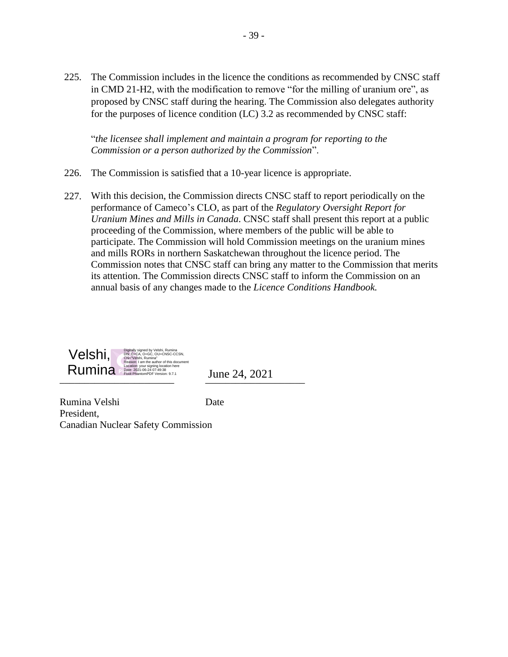225. The Commission includes in the licence the conditions as recommended by CNSC staff in CMD 21-H2, with the modification to remove "for the milling of uranium ore", as proposed by CNSC staff during the hearing. The Commission also delegates authority for the purposes of licence condition (LC) 3.2 as recommended by CNSC staff:

"*the licensee shall implement and maintain a program for reporting to the Commission or a person authorized by the Commission*".

- 226. The Commission is satisfied that a 10-year licence is appropriate.
- 227. With this decision, the Commission directs CNSC staff to report periodically on the performance of Cameco's CLO, as part of the *Regulatory Oversight Report for Uranium Mines and Mills in Canada*. CNSC staff shall present this report at a public proceeding of the Commission, where members of the public will be able to participate. The Commission will hold Commission meetings on the uranium mines and mills RORs in northern Saskatchewan throughout the licence period. The Commission notes that CNSC staff can bring any matter to the Commission that merits its attention. The Commission directs CNSC staff to inform the Commission on an annual basis of any changes made to the *Licence Conditions Handbook.*



Rumina Velshi **Date** President, Canadian Nuclear Safety Commission